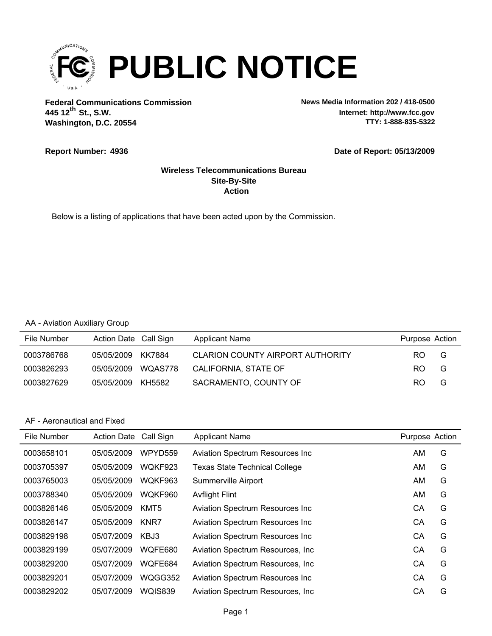

**Federal Communications Commission News Media Information 202 / 418-0500 Washington, D.C. 20554 th 445 12 St., S.W.**

**Internet: http://www.fcc.gov TTY: 1-888-835-5322**

#### **Report Number: 4936**

#### **Date of Report: 05/13/2009**

#### **Action Site-By-Site Wireless Telecommunications Bureau**

Below is a listing of applications that have been acted upon by the Commission.

#### AA - Aviation Auxiliary Group

| File Number | Action Date Call Sign |         | <b>Applicant Name</b>            | Purpose Action |   |
|-------------|-----------------------|---------|----------------------------------|----------------|---|
| 0003786768  | 05/05/2009            | KK7884  | CLARION COUNTY AIRPORT AUTHORITY | RO.            | G |
| 0003826293  | 05/05/2009            | WQAS778 | CALIFORNIA, STATE OF             | RO.            | G |
| 0003827629  | 05/05/2009            | KH5582  | SACRAMENTO, COUNTY OF            | RO.            | G |

| File Number | <b>Action Date</b> | Call Sign      | <b>Applicant Name</b>                   | Purpose Action |   |
|-------------|--------------------|----------------|-----------------------------------------|----------------|---|
| 0003658101  | 05/05/2009         | WPYD559        | <b>Aviation Spectrum Resources Inc.</b> | AM.            | G |
| 0003705397  | 05/05/2009         | WOKF923        | <b>Texas State Technical College</b>    | AM             | G |
| 0003765003  | 05/05/2009         | WOKF963        | Summerville Airport                     | AM             | G |
| 0003788340  | 05/05/2009         | WOKF960        | <b>Avflight Flint</b>                   | AM             | G |
| 0003826146  | 05/05/2009         | KMT5           | <b>Aviation Spectrum Resources Inc.</b> | CА             | G |
| 0003826147  | 05/05/2009         | KNR7           | <b>Aviation Spectrum Resources Inc.</b> | СA             | G |
| 0003829198  | 05/07/2009         | KBJ3           | <b>Aviation Spectrum Resources Inc.</b> | СA             | G |
| 0003829199  | 05/07/2009         | WQFE680        | Aviation Spectrum Resources, Inc.       | СA             | G |
| 0003829200  | 05/07/2009         | WOFE684        | Aviation Spectrum Resources, Inc.       | CA             | G |
| 0003829201  | 05/07/2009         | WQGG352        | <b>Aviation Spectrum Resources Inc.</b> | CA             | G |
| 0003829202  | 05/07/2009         | <b>WOIS839</b> | Aviation Spectrum Resources, Inc.       | CА             | G |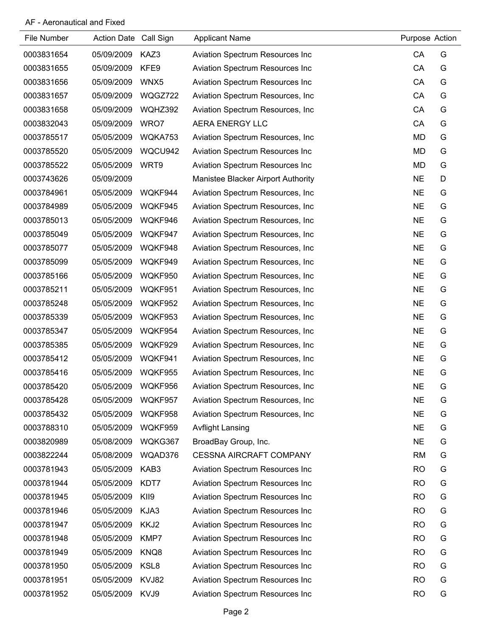| File Number | Action Date Call Sign |         | <b>Applicant Name</b>              | Purpose Action |   |
|-------------|-----------------------|---------|------------------------------------|----------------|---|
| 0003831654  | 05/09/2009            | KAZ3    | Aviation Spectrum Resources Inc    | CA             | G |
| 0003831655  | 05/09/2009            | KFE9    | Aviation Spectrum Resources Inc    | CA             | G |
| 0003831656  | 05/09/2009            | WNX5    | Aviation Spectrum Resources Inc    | CA             | G |
| 0003831657  | 05/09/2009            | WQGZ722 | Aviation Spectrum Resources, Inc.  | CA             | G |
| 0003831658  | 05/09/2009            | WQHZ392 | Aviation Spectrum Resources, Inc.  | CA             | G |
| 0003832043  | 05/09/2009            | WRO7    | AERA ENERGY LLC                    | CA             | G |
| 0003785517  | 05/05/2009            | WQKA753 | Aviation Spectrum Resources, Inc.  | <b>MD</b>      | G |
| 0003785520  | 05/05/2009            | WQCU942 | Aviation Spectrum Resources Inc    | MD             | G |
| 0003785522  | 05/05/2009            | WRT9    | Aviation Spectrum Resources Inc    | <b>MD</b>      | G |
| 0003743626  | 05/09/2009            |         | Manistee Blacker Airport Authority | <b>NE</b>      | D |
| 0003784961  | 05/05/2009            | WQKF944 | Aviation Spectrum Resources, Inc.  | <b>NE</b>      | G |
| 0003784989  | 05/05/2009            | WQKF945 | Aviation Spectrum Resources, Inc.  | <b>NE</b>      | G |
| 0003785013  | 05/05/2009            | WQKF946 | Aviation Spectrum Resources, Inc.  | <b>NE</b>      | G |
| 0003785049  | 05/05/2009            | WQKF947 | Aviation Spectrum Resources, Inc.  | <b>NE</b>      | G |
| 0003785077  | 05/05/2009            | WQKF948 | Aviation Spectrum Resources, Inc.  | <b>NE</b>      | G |
| 0003785099  | 05/05/2009            | WQKF949 | Aviation Spectrum Resources, Inc.  | <b>NE</b>      | G |
| 0003785166  | 05/05/2009            | WQKF950 | Aviation Spectrum Resources, Inc.  | <b>NE</b>      | G |
| 0003785211  | 05/05/2009            | WQKF951 | Aviation Spectrum Resources, Inc.  | <b>NE</b>      | G |
| 0003785248  | 05/05/2009            | WQKF952 | Aviation Spectrum Resources, Inc.  | <b>NE</b>      | G |
| 0003785339  | 05/05/2009            | WQKF953 | Aviation Spectrum Resources, Inc.  | <b>NE</b>      | G |
| 0003785347  | 05/05/2009            | WQKF954 | Aviation Spectrum Resources, Inc.  | <b>NE</b>      | G |
| 0003785385  | 05/05/2009            | WQKF929 | Aviation Spectrum Resources, Inc.  | <b>NE</b>      | G |
| 0003785412  | 05/05/2009            | WQKF941 | Aviation Spectrum Resources, Inc.  | <b>NE</b>      | G |
| 0003785416  | 05/05/2009            | WQKF955 | Aviation Spectrum Resources, Inc.  | <b>NE</b>      | G |
| 0003785420  | 05/05/2009            | WQKF956 | Aviation Spectrum Resources, Inc   | <b>NE</b>      | G |
| 0003785428  | 05/05/2009            | WQKF957 | Aviation Spectrum Resources, Inc.  | <b>NE</b>      | G |
| 0003785432  | 05/05/2009            | WQKF958 | Aviation Spectrum Resources, Inc.  | <b>NE</b>      | G |
| 0003788310  | 05/05/2009            | WQKF959 | <b>Avflight Lansing</b>            | <b>NE</b>      | G |
| 0003820989  | 05/08/2009            | WQKG367 | BroadBay Group, Inc.               | <b>NE</b>      | G |
| 0003822244  | 05/08/2009            | WQAD376 | <b>CESSNA AIRCRAFT COMPANY</b>     | <b>RM</b>      | G |
| 0003781943  | 05/05/2009            | KAB3    | Aviation Spectrum Resources Inc    | <b>RO</b>      | G |
| 0003781944  | 05/05/2009            | KDT7    | Aviation Spectrum Resources Inc    | <b>RO</b>      | G |
| 0003781945  | 05/05/2009            | KII9    | Aviation Spectrum Resources Inc    | <b>RO</b>      | G |
| 0003781946  | 05/05/2009            | KJA3    | Aviation Spectrum Resources Inc    | <b>RO</b>      | G |
| 0003781947  | 05/05/2009            | KKJ2    | Aviation Spectrum Resources Inc    | <b>RO</b>      | G |
| 0003781948  | 05/05/2009            | KMP7    | Aviation Spectrum Resources Inc    | <b>RO</b>      | G |
| 0003781949  | 05/05/2009            | KNQ8    | Aviation Spectrum Resources Inc    | <b>RO</b>      | G |
| 0003781950  | 05/05/2009            | KSL8    | Aviation Spectrum Resources Inc    | <b>RO</b>      | G |
| 0003781951  | 05/05/2009            | KVJ82   | Aviation Spectrum Resources Inc    | <b>RO</b>      | G |
| 0003781952  | 05/05/2009            | KVJ9    | Aviation Spectrum Resources Inc    | <b>RO</b>      | G |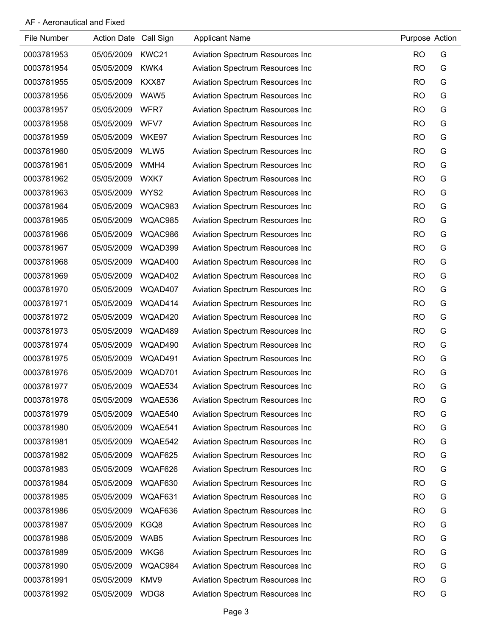| File Number | Action Date Call Sign |         | <b>Applicant Name</b>                   | Purpose Action |   |
|-------------|-----------------------|---------|-----------------------------------------|----------------|---|
| 0003781953  | 05/05/2009            | KWC21   | Aviation Spectrum Resources Inc         | <b>RO</b>      | G |
| 0003781954  | 05/05/2009            | KWK4    | Aviation Spectrum Resources Inc         | <b>RO</b>      | G |
| 0003781955  | 05/05/2009            | KXX87   | Aviation Spectrum Resources Inc         | <b>RO</b>      | G |
| 0003781956  | 05/05/2009            | WAW5    | Aviation Spectrum Resources Inc         | <b>RO</b>      | G |
| 0003781957  | 05/05/2009            | WFR7    | Aviation Spectrum Resources Inc         | <b>RO</b>      | G |
| 0003781958  | 05/05/2009            | WFV7    | Aviation Spectrum Resources Inc         | <b>RO</b>      | G |
| 0003781959  | 05/05/2009            | WKE97   | Aviation Spectrum Resources Inc         | <b>RO</b>      | G |
| 0003781960  | 05/05/2009            | WLW5    | Aviation Spectrum Resources Inc         | <b>RO</b>      | G |
| 0003781961  | 05/05/2009            | WMH4    | Aviation Spectrum Resources Inc         | <b>RO</b>      | G |
| 0003781962  | 05/05/2009            | WXK7    | <b>Aviation Spectrum Resources Inc</b>  | <b>RO</b>      | G |
| 0003781963  | 05/05/2009            | WYS2    | <b>Aviation Spectrum Resources Inc</b>  | <b>RO</b>      | G |
| 0003781964  | 05/05/2009            | WQAC983 | Aviation Spectrum Resources Inc         | <b>RO</b>      | G |
| 0003781965  | 05/05/2009            | WQAC985 | Aviation Spectrum Resources Inc         | <b>RO</b>      | G |
| 0003781966  | 05/05/2009            | WQAC986 | Aviation Spectrum Resources Inc         | <b>RO</b>      | G |
| 0003781967  | 05/05/2009            | WQAD399 | Aviation Spectrum Resources Inc         | <b>RO</b>      | G |
| 0003781968  | 05/05/2009            | WQAD400 | Aviation Spectrum Resources Inc         | <b>RO</b>      | G |
| 0003781969  | 05/05/2009            | WQAD402 | Aviation Spectrum Resources Inc         | <b>RO</b>      | G |
| 0003781970  | 05/05/2009            | WQAD407 | Aviation Spectrum Resources Inc         | <b>RO</b>      | G |
| 0003781971  | 05/05/2009            | WQAD414 | Aviation Spectrum Resources Inc         | <b>RO</b>      | G |
| 0003781972  | 05/05/2009            | WQAD420 | Aviation Spectrum Resources Inc         | <b>RO</b>      | G |
| 0003781973  | 05/05/2009            | WQAD489 | Aviation Spectrum Resources Inc         | <b>RO</b>      | G |
| 0003781974  | 05/05/2009            | WQAD490 | Aviation Spectrum Resources Inc         | <b>RO</b>      | G |
| 0003781975  | 05/05/2009            | WQAD491 | Aviation Spectrum Resources Inc         | <b>RO</b>      | G |
| 0003781976  | 05/05/2009            | WQAD701 | Aviation Spectrum Resources Inc         | <b>RO</b>      | G |
| 0003781977  | 05/05/2009            | WQAE534 | <b>Aviation Spectrum Resources Inc</b>  | <b>RO</b>      | G |
| 0003781978  | 05/05/2009            | WQAE536 | <b>Aviation Spectrum Resources Inc.</b> | <b>RO</b>      | G |
| 0003781979  | 05/05/2009            | WQAE540 | Aviation Spectrum Resources Inc         | <b>RO</b>      | G |
| 0003781980  | 05/05/2009            | WQAE541 | Aviation Spectrum Resources Inc         | <b>RO</b>      | G |
| 0003781981  | 05/05/2009            | WQAE542 | Aviation Spectrum Resources Inc         | <b>RO</b>      | G |
| 0003781982  | 05/05/2009            | WQAF625 | Aviation Spectrum Resources Inc         | <b>RO</b>      | G |
| 0003781983  | 05/05/2009            | WQAF626 | Aviation Spectrum Resources Inc         | <b>RO</b>      | G |
| 0003781984  | 05/05/2009            | WQAF630 | Aviation Spectrum Resources Inc         | <b>RO</b>      | G |
| 0003781985  | 05/05/2009            | WQAF631 | Aviation Spectrum Resources Inc         | <b>RO</b>      | G |
| 0003781986  | 05/05/2009            | WQAF636 | Aviation Spectrum Resources Inc         | <b>RO</b>      | G |
| 0003781987  | 05/05/2009            | KGQ8    | Aviation Spectrum Resources Inc         | <b>RO</b>      | G |
| 0003781988  | 05/05/2009            | WAB5    | Aviation Spectrum Resources Inc         | <b>RO</b>      | G |
| 0003781989  | 05/05/2009            | WKG6    | Aviation Spectrum Resources Inc         | <b>RO</b>      | G |
| 0003781990  | 05/05/2009            | WQAC984 | Aviation Spectrum Resources Inc         | <b>RO</b>      | G |
| 0003781991  | 05/05/2009            | KMV9    | Aviation Spectrum Resources Inc         | <b>RO</b>      | G |
| 0003781992  | 05/05/2009            | WDG8    | Aviation Spectrum Resources Inc         | <b>RO</b>      | G |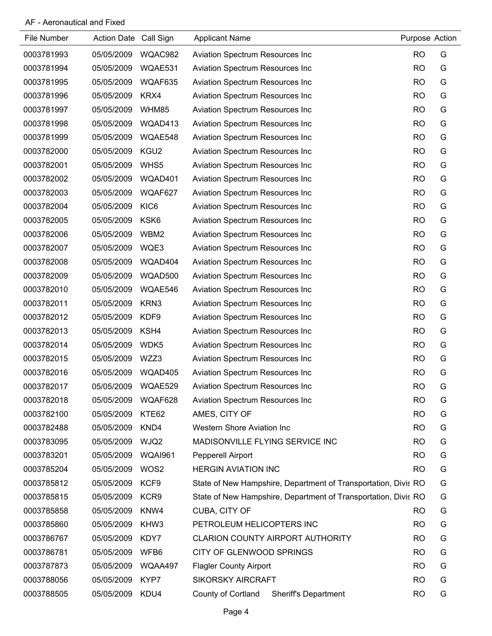| File Number | Action Date Call Sign |                  | <b>Applicant Name</b>                                          | Purpose Action |   |
|-------------|-----------------------|------------------|----------------------------------------------------------------|----------------|---|
| 0003781993  | 05/05/2009            | WQAC982          | <b>Aviation Spectrum Resources Inc</b>                         | <b>RO</b>      | G |
| 0003781994  | 05/05/2009            | WQAE531          | Aviation Spectrum Resources Inc                                | <b>RO</b>      | G |
| 0003781995  | 05/05/2009            | WQAF635          | Aviation Spectrum Resources Inc                                | <b>RO</b>      | G |
| 0003781996  | 05/05/2009            | KRX4             | Aviation Spectrum Resources Inc                                | <b>RO</b>      | G |
| 0003781997  | 05/05/2009            | WHM85            | Aviation Spectrum Resources Inc                                | <b>RO</b>      | G |
| 0003781998  | 05/05/2009            | WQAD413          | Aviation Spectrum Resources Inc                                | <b>RO</b>      | G |
| 0003781999  | 05/05/2009            | WQAE548          | Aviation Spectrum Resources Inc                                | <b>RO</b>      | G |
| 0003782000  | 05/05/2009            | KGU2             | Aviation Spectrum Resources Inc                                | <b>RO</b>      | G |
| 0003782001  | 05/05/2009            | WHS5             | Aviation Spectrum Resources Inc                                | <b>RO</b>      | G |
| 0003782002  | 05/05/2009            | WQAD401          | Aviation Spectrum Resources Inc                                | <b>RO</b>      | G |
| 0003782003  | 05/05/2009            | WQAF627          | Aviation Spectrum Resources Inc                                | <b>RO</b>      | G |
| 0003782004  | 05/05/2009            | KIC <sub>6</sub> | Aviation Spectrum Resources Inc                                | <b>RO</b>      | G |
| 0003782005  | 05/05/2009            | KSK6             | <b>Aviation Spectrum Resources Inc</b>                         | <b>RO</b>      | G |
| 0003782006  | 05/05/2009            | WBM2             | Aviation Spectrum Resources Inc                                | <b>RO</b>      | G |
| 0003782007  | 05/05/2009            | WQE3             | Aviation Spectrum Resources Inc                                | <b>RO</b>      | G |
| 0003782008  | 05/05/2009            | WQAD404          | Aviation Spectrum Resources Inc                                | <b>RO</b>      | G |
| 0003782009  | 05/05/2009            | WQAD500          | Aviation Spectrum Resources Inc                                | <b>RO</b>      | G |
| 0003782010  | 05/05/2009            | WQAE546          | Aviation Spectrum Resources Inc                                | <b>RO</b>      | G |
| 0003782011  | 05/05/2009            | KRN3             | Aviation Spectrum Resources Inc                                | <b>RO</b>      | G |
| 0003782012  | 05/05/2009            | KDF9             | <b>Aviation Spectrum Resources Inc.</b>                        | <b>RO</b>      | G |
| 0003782013  | 05/05/2009            | KSH4             | Aviation Spectrum Resources Inc                                | <b>RO</b>      | G |
| 0003782014  | 05/05/2009            | WDK5             | Aviation Spectrum Resources Inc                                | <b>RO</b>      | G |
| 0003782015  | 05/05/2009            | WZZ3             | Aviation Spectrum Resources Inc                                | <b>RO</b>      | G |
| 0003782016  | 05/05/2009            | WQAD405          | Aviation Spectrum Resources Inc                                | <b>RO</b>      | G |
| 0003782017  | 05/05/2009            | WQAE529          | <b>Aviation Spectrum Resources Inc</b>                         | <b>RO</b>      | G |
| 0003782018  | 05/05/2009            | WQAF628          | <b>Aviation Spectrum Resources Inc.</b>                        | <b>RO</b>      | G |
| 0003782100  | 05/05/2009            | KTE62            | AMES, CITY OF                                                  | <b>RO</b>      | G |
| 0003782488  | 05/05/2009            | KND4             | <b>Western Shore Aviation Inc</b>                              | <b>RO</b>      | G |
| 0003783095  | 05/05/2009            | WJQ2             | MADISONVILLE FLYING SERVICE INC                                | <b>RO</b>      | G |
| 0003783201  | 05/05/2009            | WQAI961          | Pepperell Airport                                              | <b>RO</b>      | G |
| 0003785204  | 05/05/2009            | WOS2             | <b>HERGIN AVIATION INC</b>                                     | <b>RO</b>      | G |
| 0003785812  | 05/05/2009            | KCF9             | State of New Hampshire, Department of Transportation, Divis RO |                | G |
| 0003785815  | 05/05/2009            | KCR <sub>9</sub> | State of New Hampshire, Department of Transportation, Divis RO |                | G |
| 0003785858  | 05/05/2009            | KNW4             | CUBA, CITY OF                                                  | <b>RO</b>      | G |
| 0003785860  | 05/05/2009            | KHW3             | PETROLEUM HELICOPTERS INC                                      | <b>RO</b>      | G |
| 0003786767  | 05/05/2009            | KDY7             | <b>CLARION COUNTY AIRPORT AUTHORITY</b>                        | <b>RO</b>      | G |
| 0003786781  | 05/05/2009            | WFB6             | CITY OF GLENWOOD SPRINGS                                       | <b>RO</b>      | G |
| 0003787873  | 05/05/2009            | WQAA497          | <b>Flagler County Airport</b>                                  | <b>RO</b>      | G |
| 0003788056  | 05/05/2009            | KYP7             | <b>SIKORSKY AIRCRAFT</b>                                       | <b>RO</b>      | G |
| 0003788505  | 05/05/2009            | KDU4             | County of Cortland<br>Sheriff's Department                     | <b>RO</b>      | G |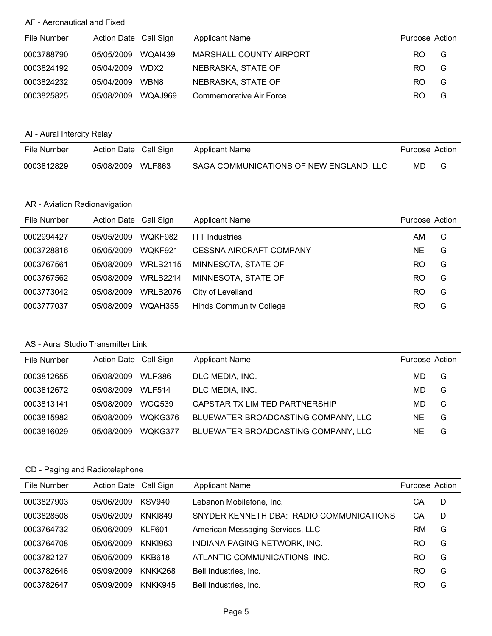| File Number | Action Date Call Sign |                | <b>Applicant Name</b>          | Purpose Action |   |
|-------------|-----------------------|----------------|--------------------------------|----------------|---|
| 0003788790  | 05/05/2009            | <b>WOAI439</b> | <b>MARSHALL COUNTY AIRPORT</b> | RO.            | G |
| 0003824192  | 05/04/2009            | WDX2           | NEBRASKA, STATE OF             | RO.            | G |
| 0003824232  | 05/04/2009            | WBN8           | NEBRASKA, STATE OF             | RO.            | G |
| 0003825825  | 05/08/2009            | WQA.J969       | Commemorative Air Force        | RO.            | G |

# AI - Aural Intercity Relay

| File Number | Action Date Call Sign |               | Applicant Name                          | Purpose Action |   |
|-------------|-----------------------|---------------|-----------------------------------------|----------------|---|
| 0003812829  | 05/08/2009            | <b>WLF863</b> | SAGA COMMUNICATIONS OF NEW ENGLAND, LLC | MD.            | G |

# AR - Aviation Radionavigation

| File Number | Action Date Call Sign |                 | <b>Applicant Name</b>          | Purpose Action |   |
|-------------|-----------------------|-----------------|--------------------------------|----------------|---|
| 0002994427  | 05/05/2009            | WOKF982         | <b>ITT Industries</b>          | AM.            | G |
| 0003728816  | 05/05/2009            | WOKF921         | <b>CESSNA AIRCRAFT COMPANY</b> | <b>NE</b>      | G |
| 0003767561  | 05/08/2009            | <b>WRLB2115</b> | MINNESOTA, STATE OF            | RO.            | G |
| 0003767562  | 05/08/2009            | <b>WRLB2214</b> | MINNESOTA, STATE OF            | RO             | G |
| 0003773042  | 05/08/2009            | <b>WRLB2076</b> | City of Levelland              | RO             | G |
| 0003777037  | 05/08/2009            | WQAH355         | <b>Hinds Community College</b> | RO             | G |

#### AS - Aural Studio Transmitter Link

| File Number | Action Date Call Sign |               | <b>Applicant Name</b>               | Purpose Action |   |
|-------------|-----------------------|---------------|-------------------------------------|----------------|---|
| 0003812655  | 05/08/2009            | WLP386        | DLC MEDIA, INC.                     | MD.            | G |
| 0003812672  | 05/08/2009            | <b>WLF514</b> | DLC MEDIA, INC.                     | MD             | G |
| 0003813141  | 05/08/2009            | <b>WCO539</b> | CAPSTAR TX LIMITED PARTNERSHIP      | MD             | G |
| 0003815982  | 05/08/2009            | WQKG376       | BLUEWATER BROADCASTING COMPANY, LLC | <b>NE</b>      | G |
| 0003816029  | 05/08/2009            | WQKG377       | BLUEWATER BROADCASTING COMPANY, LLC | NE             | G |

| File Number | Action Date Call Sign |                | <b>Applicant Name</b>                    | Purpose Action |   |
|-------------|-----------------------|----------------|------------------------------------------|----------------|---|
| 0003827903  | 05/06/2009            | KSV940         | Lebanon Mobilefone, Inc.                 | CА             | D |
| 0003828508  | 05/06/2009            | <b>KNK1849</b> | SNYDER KENNETH DBA: RADIO COMMUNICATIONS | СA             | D |
| 0003764732  | 05/06/2009            | KLF601         | American Messaging Services, LLC         | RM             | G |
| 0003764708  | 05/06/2009            | <b>KNKI963</b> | INDIANA PAGING NETWORK, INC.             | RO             | G |
| 0003782127  | 05/05/2009            | <b>KKB618</b>  | ATLANTIC COMMUNICATIONS, INC.            | RO             | G |
| 0003782646  | 05/09/2009            | KNKK268        | Bell Industries, Inc.                    | RO             | G |
| 0003782647  | 05/09/2009            | <b>KNKK945</b> | Bell Industries, Inc.                    | RO             | G |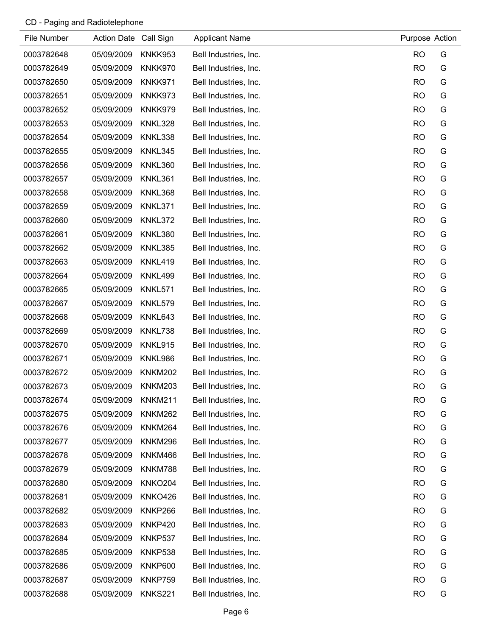| File Number | Action Date Call Sign |                | <b>Applicant Name</b> | Purpose Action |   |
|-------------|-----------------------|----------------|-----------------------|----------------|---|
| 0003782648  | 05/09/2009            | KNKK953        | Bell Industries, Inc. | <b>RO</b>      | G |
| 0003782649  | 05/09/2009            | KNKK970        | Bell Industries, Inc. | <b>RO</b>      | G |
| 0003782650  | 05/09/2009            | KNKK971        | Bell Industries, Inc. | <b>RO</b>      | G |
| 0003782651  | 05/09/2009            | KNKK973        | Bell Industries, Inc. | <b>RO</b>      | G |
| 0003782652  | 05/09/2009            | KNKK979        | Bell Industries, Inc. | <b>RO</b>      | G |
| 0003782653  | 05/09/2009            | KNKL328        | Bell Industries, Inc. | <b>RO</b>      | G |
| 0003782654  | 05/09/2009            | KNKL338        | Bell Industries, Inc. | <b>RO</b>      | G |
| 0003782655  | 05/09/2009            | KNKL345        | Bell Industries, Inc. | <b>RO</b>      | G |
| 0003782656  | 05/09/2009            | KNKL360        | Bell Industries, Inc. | <b>RO</b>      | G |
| 0003782657  | 05/09/2009            | KNKL361        | Bell Industries, Inc. | <b>RO</b>      | G |
| 0003782658  | 05/09/2009            | KNKL368        | Bell Industries, Inc. | <b>RO</b>      | G |
| 0003782659  | 05/09/2009            | KNKL371        | Bell Industries, Inc. | <b>RO</b>      | G |
| 0003782660  | 05/09/2009            | KNKL372        | Bell Industries, Inc. | <b>RO</b>      | G |
| 0003782661  | 05/09/2009            | KNKL380        | Bell Industries, Inc. | <b>RO</b>      | G |
| 0003782662  | 05/09/2009            | KNKL385        | Bell Industries, Inc. | <b>RO</b>      | G |
| 0003782663  | 05/09/2009            | KNKL419        | Bell Industries, Inc. | <b>RO</b>      | G |
| 0003782664  | 05/09/2009            | KNKL499        | Bell Industries, Inc. | <b>RO</b>      | G |
| 0003782665  | 05/09/2009            | KNKL571        | Bell Industries, Inc. | <b>RO</b>      | G |
| 0003782667  | 05/09/2009            | KNKL579        | Bell Industries, Inc. | <b>RO</b>      | G |
| 0003782668  | 05/09/2009            | KNKL643        | Bell Industries, Inc. | <b>RO</b>      | G |
| 0003782669  | 05/09/2009            | KNKL738        | Bell Industries, Inc. | <b>RO</b>      | G |
| 0003782670  | 05/09/2009            | KNKL915        | Bell Industries, Inc. | <b>RO</b>      | G |
| 0003782671  | 05/09/2009            | KNKL986        | Bell Industries, Inc. | <b>RO</b>      | G |
| 0003782672  | 05/09/2009            | <b>KNKM202</b> | Bell Industries, Inc. | <b>RO</b>      | G |
| 0003782673  | 05/09/2009            | KNKM203        | Bell Industries, Inc. | <b>RO</b>      | G |
| 0003782674  | 05/09/2009            | <b>KNKM211</b> | Bell Industries, Inc. | <b>RO</b>      | G |
| 0003782675  | 05/09/2009            | KNKM262        | Bell Industries, Inc. | <b>RO</b>      | G |
| 0003782676  | 05/09/2009            | KNKM264        | Bell Industries, Inc. | <b>RO</b>      | G |
| 0003782677  | 05/09/2009            | <b>KNKM296</b> | Bell Industries, Inc. | <b>RO</b>      | G |
| 0003782678  | 05/09/2009            | KNKM466        | Bell Industries, Inc. | <b>RO</b>      | G |
| 0003782679  | 05/09/2009            | KNKM788        | Bell Industries, Inc. | <b>RO</b>      | G |
| 0003782680  | 05/09/2009            | KNKO204        | Bell Industries, Inc. | <b>RO</b>      | G |
| 0003782681  | 05/09/2009            | KNKO426        | Bell Industries, Inc. | <b>RO</b>      | G |
| 0003782682  | 05/09/2009            | KNKP266        | Bell Industries, Inc. | <b>RO</b>      | G |
| 0003782683  | 05/09/2009            | KNKP420        | Bell Industries, Inc. | <b>RO</b>      | G |
| 0003782684  | 05/09/2009            | KNKP537        | Bell Industries, Inc. | <b>RO</b>      | G |
| 0003782685  | 05/09/2009            | KNKP538        | Bell Industries, Inc. | <b>RO</b>      | G |
| 0003782686  | 05/09/2009            | KNKP600        | Bell Industries, Inc. | <b>RO</b>      | G |
| 0003782687  | 05/09/2009            | KNKP759        | Bell Industries, Inc. | <b>RO</b>      | G |
| 0003782688  | 05/09/2009            | <b>KNKS221</b> | Bell Industries, Inc. | <b>RO</b>      | G |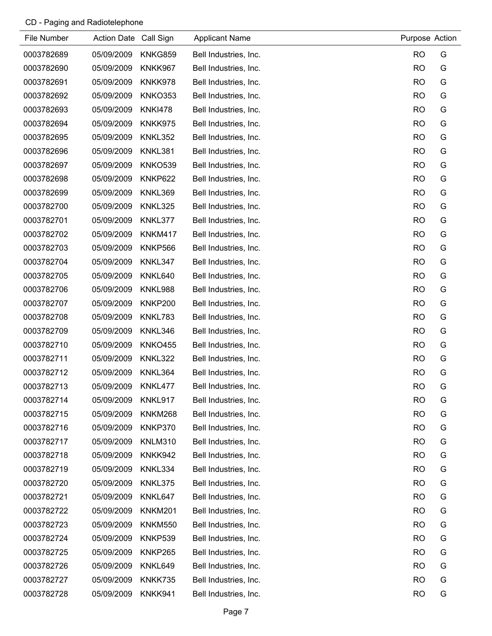| File Number | Action Date Call Sign |                | <b>Applicant Name</b> | Purpose Action |   |
|-------------|-----------------------|----------------|-----------------------|----------------|---|
| 0003782689  | 05/09/2009            | KNKG859        | Bell Industries, Inc. | <b>RO</b>      | G |
| 0003782690  | 05/09/2009            | KNKK967        | Bell Industries, Inc. | <b>RO</b>      | G |
| 0003782691  | 05/09/2009            | KNKK978        | Bell Industries, Inc. | <b>RO</b>      | G |
| 0003782692  | 05/09/2009            | <b>KNKO353</b> | Bell Industries, Inc. | <b>RO</b>      | G |
| 0003782693  | 05/09/2009            | <b>KNKI478</b> | Bell Industries, Inc. | <b>RO</b>      | G |
| 0003782694  | 05/09/2009            | KNKK975        | Bell Industries, Inc. | <b>RO</b>      | G |
| 0003782695  | 05/09/2009            | KNKL352        | Bell Industries, Inc. | <b>RO</b>      | G |
| 0003782696  | 05/09/2009            | KNKL381        | Bell Industries, Inc. | <b>RO</b>      | G |
| 0003782697  | 05/09/2009            | <b>KNKO539</b> | Bell Industries, Inc. | <b>RO</b>      | G |
| 0003782698  | 05/09/2009            | KNKP622        | Bell Industries, Inc. | <b>RO</b>      | G |
| 0003782699  | 05/09/2009            | KNKL369        | Bell Industries, Inc. | <b>RO</b>      | G |
| 0003782700  | 05/09/2009            | KNKL325        | Bell Industries, Inc. | <b>RO</b>      | G |
| 0003782701  | 05/09/2009            | KNKL377        | Bell Industries, Inc. | <b>RO</b>      | G |
| 0003782702  | 05/09/2009            | <b>KNKM417</b> | Bell Industries, Inc. | <b>RO</b>      | G |
| 0003782703  | 05/09/2009            | KNKP566        | Bell Industries, Inc. | <b>RO</b>      | G |
| 0003782704  | 05/09/2009            | KNKL347        | Bell Industries, Inc. | <b>RO</b>      | G |
| 0003782705  | 05/09/2009            | KNKL640        | Bell Industries, Inc. | <b>RO</b>      | G |
| 0003782706  | 05/09/2009            | KNKL988        | Bell Industries, Inc. | <b>RO</b>      | G |
| 0003782707  | 05/09/2009            | KNKP200        | Bell Industries, Inc. | <b>RO</b>      | G |
| 0003782708  | 05/09/2009            | KNKL783        | Bell Industries, Inc. | <b>RO</b>      | G |
| 0003782709  | 05/09/2009            | KNKL346        | Bell Industries, Inc. | <b>RO</b>      | G |
| 0003782710  | 05/09/2009            | <b>KNKO455</b> | Bell Industries, Inc. | <b>RO</b>      | G |
| 0003782711  | 05/09/2009            | KNKL322        | Bell Industries, Inc. | <b>RO</b>      | G |
| 0003782712  | 05/09/2009            | KNKL364        | Bell Industries, Inc. | <b>RO</b>      | G |
| 0003782713  | 05/09/2009            | KNKL477        | Bell Industries, Inc. | <b>RO</b>      | G |
| 0003782714  | 05/09/2009            | KNKL917        | Bell Industries, Inc. | <b>RO</b>      | G |
| 0003782715  | 05/09/2009            | KNKM268        | Bell Industries, Inc. | <b>RO</b>      | G |
| 0003782716  | 05/09/2009            | KNKP370        | Bell Industries, Inc. | <b>RO</b>      | G |
| 0003782717  | 05/09/2009            | <b>KNLM310</b> | Bell Industries, Inc. | <b>RO</b>      | G |
| 0003782718  | 05/09/2009            | KNKK942        | Bell Industries, Inc. | <b>RO</b>      | G |
| 0003782719  | 05/09/2009            | KNKL334        | Bell Industries, Inc. | <b>RO</b>      | G |
| 0003782720  | 05/09/2009            | KNKL375        | Bell Industries, Inc. | <b>RO</b>      | G |
| 0003782721  | 05/09/2009            | KNKL647        | Bell Industries, Inc. | <b>RO</b>      | G |
| 0003782722  | 05/09/2009            | KNKM201        | Bell Industries, Inc. | <b>RO</b>      | G |
| 0003782723  | 05/09/2009            | <b>KNKM550</b> | Bell Industries, Inc. | <b>RO</b>      | G |
| 0003782724  | 05/09/2009            | KNKP539        | Bell Industries, Inc. | <b>RO</b>      | G |
| 0003782725  | 05/09/2009            | KNKP265        | Bell Industries, Inc. | <b>RO</b>      | G |
| 0003782726  | 05/09/2009            | KNKL649        | Bell Industries, Inc. | <b>RO</b>      | G |
| 0003782727  | 05/09/2009            | KNKK735        | Bell Industries, Inc. | <b>RO</b>      | G |
| 0003782728  | 05/09/2009            | KNKK941        | Bell Industries, Inc. | <b>RO</b>      | G |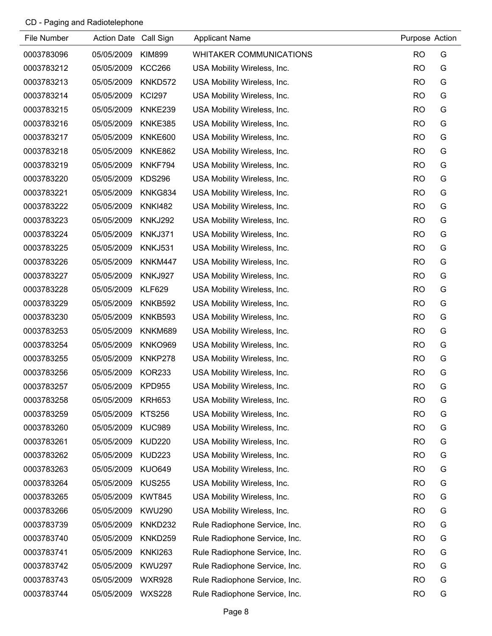| File Number | Action Date Call Sign |                | <b>Applicant Name</b>         | Purpose Action |   |
|-------------|-----------------------|----------------|-------------------------------|----------------|---|
| 0003783096  | 05/05/2009            | <b>KIM899</b>  | WHITAKER COMMUNICATIONS       | <b>RO</b>      | G |
| 0003783212  | 05/05/2009            | <b>KCC266</b>  | USA Mobility Wireless, Inc.   | <b>RO</b>      | G |
| 0003783213  | 05/05/2009            | KNKD572        | USA Mobility Wireless, Inc.   | <b>RO</b>      | G |
| 0003783214  | 05/05/2009            | <b>KCI297</b>  | USA Mobility Wireless, Inc.   | <b>RO</b>      | G |
| 0003783215  | 05/05/2009            | KNKE239        | USA Mobility Wireless, Inc.   | <b>RO</b>      | G |
| 0003783216  | 05/05/2009            | KNKE385        | USA Mobility Wireless, Inc.   | <b>RO</b>      | G |
| 0003783217  | 05/05/2009            | KNKE600        | USA Mobility Wireless, Inc.   | <b>RO</b>      | G |
| 0003783218  | 05/05/2009            | KNKE862        | USA Mobility Wireless, Inc.   | <b>RO</b>      | G |
| 0003783219  | 05/05/2009            | KNKF794        | USA Mobility Wireless, Inc.   | <b>RO</b>      | G |
| 0003783220  | 05/05/2009            | <b>KDS296</b>  | USA Mobility Wireless, Inc.   | <b>RO</b>      | G |
| 0003783221  | 05/05/2009            | KNKG834        | USA Mobility Wireless, Inc.   | <b>RO</b>      | G |
| 0003783222  | 05/05/2009            | <b>KNKI482</b> | USA Mobility Wireless, Inc.   | <b>RO</b>      | G |
| 0003783223  | 05/05/2009            | <b>KNKJ292</b> | USA Mobility Wireless, Inc.   | <b>RO</b>      | G |
| 0003783224  | 05/05/2009            | KNKJ371        | USA Mobility Wireless, Inc.   | <b>RO</b>      | G |
| 0003783225  | 05/05/2009            | <b>KNKJ531</b> | USA Mobility Wireless, Inc.   | <b>RO</b>      | G |
| 0003783226  | 05/05/2009            | KNKM447        | USA Mobility Wireless, Inc.   | <b>RO</b>      | G |
| 0003783227  | 05/05/2009            | <b>KNKJ927</b> | USA Mobility Wireless, Inc.   | <b>RO</b>      | G |
| 0003783228  | 05/05/2009            | <b>KLF629</b>  | USA Mobility Wireless, Inc.   | <b>RO</b>      | G |
| 0003783229  | 05/05/2009            | KNKB592        | USA Mobility Wireless, Inc.   | <b>RO</b>      | G |
| 0003783230  | 05/05/2009            | KNKB593        | USA Mobility Wireless, Inc.   | <b>RO</b>      | G |
| 0003783253  | 05/05/2009            | KNKM689        | USA Mobility Wireless, Inc.   | <b>RO</b>      | G |
| 0003783254  | 05/05/2009            | <b>KNKO969</b> | USA Mobility Wireless, Inc.   | <b>RO</b>      | G |
| 0003783255  | 05/05/2009            | KNKP278        | USA Mobility Wireless, Inc.   | <b>RO</b>      | G |
| 0003783256  | 05/05/2009            | <b>KOR233</b>  | USA Mobility Wireless, Inc.   | <b>RO</b>      | G |
| 0003783257  | 05/05/2009            | <b>KPD955</b>  | USA Mobility Wireless, Inc.   | <b>RO</b>      | G |
| 0003783258  | 05/05/2009            | <b>KRH653</b>  | USA Mobility Wireless, Inc.   | <b>RO</b>      | G |
| 0003783259  | 05/05/2009            | <b>KTS256</b>  | USA Mobility Wireless, Inc.   | <b>RO</b>      | G |
| 0003783260  | 05/05/2009            | <b>KUC989</b>  | USA Mobility Wireless, Inc.   | <b>RO</b>      | G |
| 0003783261  | 05/05/2009            | <b>KUD220</b>  | USA Mobility Wireless, Inc.   | <b>RO</b>      | G |
| 0003783262  | 05/05/2009            | <b>KUD223</b>  | USA Mobility Wireless, Inc.   | <b>RO</b>      | G |
| 0003783263  | 05/05/2009            | <b>KUO649</b>  | USA Mobility Wireless, Inc.   | <b>RO</b>      | G |
| 0003783264  | 05/05/2009            | <b>KUS255</b>  | USA Mobility Wireless, Inc.   | <b>RO</b>      | G |
| 0003783265  | 05/05/2009            | <b>KWT845</b>  | USA Mobility Wireless, Inc.   | <b>RO</b>      | G |
| 0003783266  | 05/05/2009            | <b>KWU290</b>  | USA Mobility Wireless, Inc.   | <b>RO</b>      | G |
| 0003783739  | 05/05/2009            | KNKD232        | Rule Radiophone Service, Inc. | <b>RO</b>      | G |
| 0003783740  | 05/05/2009            | KNKD259        | Rule Radiophone Service, Inc. | <b>RO</b>      | G |
| 0003783741  | 05/05/2009            | <b>KNKI263</b> | Rule Radiophone Service, Inc. | <b>RO</b>      | G |
| 0003783742  | 05/05/2009            | <b>KWU297</b>  | Rule Radiophone Service, Inc. | <b>RO</b>      | G |
| 0003783743  | 05/05/2009            | <b>WXR928</b>  | Rule Radiophone Service, Inc. | <b>RO</b>      | G |
| 0003783744  | 05/05/2009            | <b>WXS228</b>  | Rule Radiophone Service, Inc. | <b>RO</b>      | G |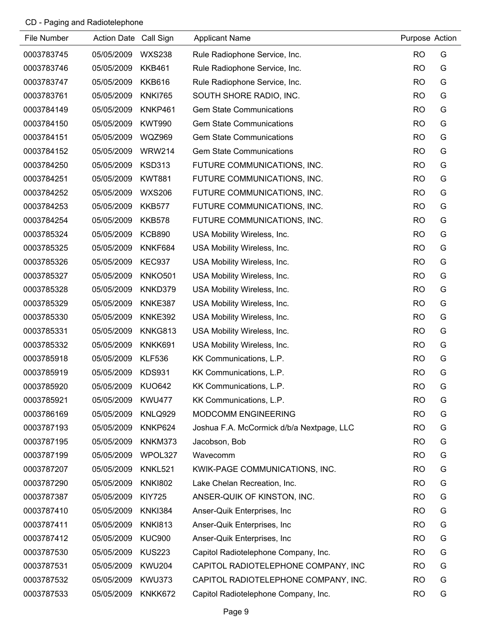| File Number | Action Date Call Sign |                | <b>Applicant Name</b>                     | Purpose Action |   |
|-------------|-----------------------|----------------|-------------------------------------------|----------------|---|
| 0003783745  | 05/05/2009            | <b>WXS238</b>  | Rule Radiophone Service, Inc.             | <b>RO</b>      | G |
| 0003783746  | 05/05/2009            | <b>KKB461</b>  | Rule Radiophone Service, Inc.             | <b>RO</b>      | G |
| 0003783747  | 05/05/2009            | <b>KKB616</b>  | Rule Radiophone Service, Inc.             | <b>RO</b>      | G |
| 0003783761  | 05/05/2009            | <b>KNKI765</b> | SOUTH SHORE RADIO, INC.                   | <b>RO</b>      | G |
| 0003784149  | 05/05/2009            | KNKP461        | <b>Gem State Communications</b>           | <b>RO</b>      | G |
| 0003784150  | 05/05/2009            | <b>KWT990</b>  | <b>Gem State Communications</b>           | <b>RO</b>      | G |
| 0003784151  | 05/05/2009            | <b>WQZ969</b>  | <b>Gem State Communications</b>           | <b>RO</b>      | G |
| 0003784152  | 05/05/2009            | <b>WRW214</b>  | <b>Gem State Communications</b>           | <b>RO</b>      | G |
| 0003784250  | 05/05/2009            | <b>KSD313</b>  | FUTURE COMMUNICATIONS, INC.               | <b>RO</b>      | G |
| 0003784251  | 05/05/2009            | <b>KWT881</b>  | FUTURE COMMUNICATIONS, INC.               | <b>RO</b>      | G |
| 0003784252  | 05/05/2009            | <b>WXS206</b>  | FUTURE COMMUNICATIONS, INC.               | <b>RO</b>      | G |
| 0003784253  | 05/05/2009            | <b>KKB577</b>  | FUTURE COMMUNICATIONS, INC.               | <b>RO</b>      | G |
| 0003784254  | 05/05/2009            | <b>KKB578</b>  | FUTURE COMMUNICATIONS, INC.               | <b>RO</b>      | G |
| 0003785324  | 05/05/2009            | <b>KCB890</b>  | USA Mobility Wireless, Inc.               | <b>RO</b>      | G |
| 0003785325  | 05/05/2009            | KNKF684        | USA Mobility Wireless, Inc.               | <b>RO</b>      | G |
| 0003785326  | 05/05/2009            | <b>KEC937</b>  | USA Mobility Wireless, Inc.               | <b>RO</b>      | G |
| 0003785327  | 05/05/2009            | <b>KNKO501</b> | USA Mobility Wireless, Inc.               | <b>RO</b>      | G |
| 0003785328  | 05/05/2009            | KNKD379        | USA Mobility Wireless, Inc.               | <b>RO</b>      | G |
| 0003785329  | 05/05/2009            | KNKE387        | USA Mobility Wireless, Inc.               | <b>RO</b>      | G |
| 0003785330  | 05/05/2009            | KNKE392        | USA Mobility Wireless, Inc.               | <b>RO</b>      | G |
| 0003785331  | 05/05/2009            | KNKG813        | USA Mobility Wireless, Inc.               | <b>RO</b>      | G |
| 0003785332  | 05/05/2009            | KNKK691        | USA Mobility Wireless, Inc.               | <b>RO</b>      | G |
| 0003785918  | 05/05/2009            | <b>KLF536</b>  | KK Communications, L.P.                   | <b>RO</b>      | G |
| 0003785919  | 05/05/2009            | <b>KDS931</b>  | KK Communications, L.P.                   | <b>RO</b>      | G |
| 0003785920  | 05/05/2009            | <b>KUO642</b>  | KK Communications, L.P.                   | <b>RO</b>      | G |
| 0003785921  | 05/05/2009            | <b>KWU477</b>  | KK Communications, L.P.                   | <b>RO</b>      | G |
| 0003786169  | 05/05/2009            | KNLQ929        | <b>MODCOMM ENGINEERING</b>                | <b>RO</b>      | G |
| 0003787193  | 05/05/2009            | KNKP624        | Joshua F.A. McCormick d/b/a Nextpage, LLC | <b>RO</b>      | G |
| 0003787195  | 05/05/2009            | KNKM373        | Jacobson, Bob                             | <b>RO</b>      | G |
| 0003787199  | 05/05/2009            | WPOL327        | Wavecomm                                  | <b>RO</b>      | G |
| 0003787207  | 05/05/2009            | <b>KNKL521</b> | KWIK-PAGE COMMUNICATIONS, INC.            | <b>RO</b>      | G |
| 0003787290  | 05/05/2009            | <b>KNKI802</b> | Lake Chelan Recreation, Inc.              | <b>RO</b>      | G |
| 0003787387  | 05/05/2009            | <b>KIY725</b>  | ANSER-QUIK OF KINSTON, INC.               | <b>RO</b>      | G |
| 0003787410  | 05/05/2009            | <b>KNKI384</b> | Anser-Quik Enterprises, Inc               | <b>RO</b>      | G |
| 0003787411  | 05/05/2009            | <b>KNKI813</b> | Anser-Quik Enterprises, Inc.              | <b>RO</b>      | G |
| 0003787412  | 05/05/2009            | <b>KUC900</b>  | Anser-Quik Enterprises, Inc.              | <b>RO</b>      | G |
| 0003787530  | 05/05/2009            | <b>KUS223</b>  | Capitol Radiotelephone Company, Inc.      | <b>RO</b>      | G |
| 0003787531  | 05/05/2009            | <b>KWU204</b>  | CAPITOL RADIOTELEPHONE COMPANY, INC       | <b>RO</b>      | G |
| 0003787532  | 05/05/2009            | <b>KWU373</b>  | CAPITOL RADIOTELEPHONE COMPANY, INC.      | <b>RO</b>      | G |
| 0003787533  | 05/05/2009            | KNKK672        | Capitol Radiotelephone Company, Inc.      | <b>RO</b>      | G |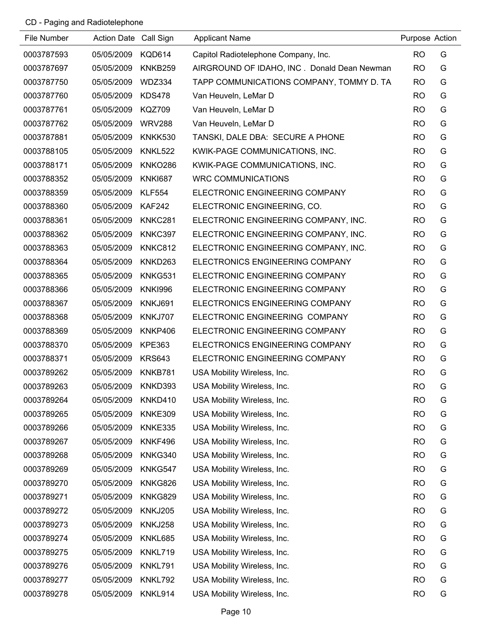| File Number | Action Date Call Sign |                | <b>Applicant Name</b>                       | Purpose Action |   |
|-------------|-----------------------|----------------|---------------------------------------------|----------------|---|
| 0003787593  | 05/05/2009            | <b>KQD614</b>  | Capitol Radiotelephone Company, Inc.        | <b>RO</b>      | G |
| 0003787697  | 05/05/2009            | KNKB259        | AIRGROUND OF IDAHO, INC. Donald Dean Newman | <b>RO</b>      | G |
| 0003787750  | 05/05/2009            | WDZ334         | TAPP COMMUNICATIONS COMPANY, TOMMY D. TA    | <b>RO</b>      | G |
| 0003787760  | 05/05/2009            | <b>KDS478</b>  | Van Heuveln, LeMar D                        | <b>RO</b>      | G |
| 0003787761  | 05/05/2009            | <b>KQZ709</b>  | Van Heuveln, LeMar D                        | <b>RO</b>      | G |
| 0003787762  | 05/05/2009            | <b>WRV288</b>  | Van Heuveln, LeMar D                        | <b>RO</b>      | G |
| 0003787881  | 05/05/2009            | <b>KNKK530</b> | TANSKI, DALE DBA: SECURE A PHONE            | <b>RO</b>      | G |
| 0003788105  | 05/05/2009            | <b>KNKL522</b> | KWIK-PAGE COMMUNICATIONS, INC.              | <b>RO</b>      | G |
| 0003788171  | 05/05/2009            | <b>KNKO286</b> | KWIK-PAGE COMMUNICATIONS, INC.              | <b>RO</b>      | G |
| 0003788352  | 05/05/2009            | <b>KNKI687</b> | <b>WRC COMMUNICATIONS</b>                   | <b>RO</b>      | G |
| 0003788359  | 05/05/2009            | <b>KLF554</b>  | ELECTRONIC ENGINEERING COMPANY              | <b>RO</b>      | G |
| 0003788360  | 05/05/2009            | <b>KAF242</b>  | ELECTRONIC ENGINEERING, CO.                 | <b>RO</b>      | G |
| 0003788361  | 05/05/2009            | KNKC281        | ELECTRONIC ENGINEERING COMPANY, INC.        | <b>RO</b>      | G |
| 0003788362  | 05/05/2009            | KNKC397        | ELECTRONIC ENGINEERING COMPANY, INC.        | <b>RO</b>      | G |
| 0003788363  | 05/05/2009            | KNKC812        | ELECTRONIC ENGINEERING COMPANY, INC.        | <b>RO</b>      | G |
| 0003788364  | 05/05/2009            | KNKD263        | ELECTRONICS ENGINEERING COMPANY             | <b>RO</b>      | G |
| 0003788365  | 05/05/2009            | KNKG531        | ELECTRONIC ENGINEERING COMPANY              | <b>RO</b>      | G |
| 0003788366  | 05/05/2009            | <b>KNKI996</b> | ELECTRONIC ENGINEERING COMPANY              | <b>RO</b>      | G |
| 0003788367  | 05/05/2009            | KNKJ691        | ELECTRONICS ENGINEERING COMPANY             | <b>RO</b>      | G |
| 0003788368  | 05/05/2009            | KNKJ707        | ELECTRONIC ENGINEERING COMPANY              | <b>RO</b>      | G |
| 0003788369  | 05/05/2009            | KNKP406        | ELECTRONIC ENGINEERING COMPANY              | <b>RO</b>      | G |
| 0003788370  | 05/05/2009            | <b>KPE363</b>  | ELECTRONICS ENGINEERING COMPANY             | <b>RO</b>      | G |
| 0003788371  | 05/05/2009            | <b>KRS643</b>  | ELECTRONIC ENGINEERING COMPANY              | <b>RO</b>      | G |
| 0003789262  | 05/05/2009            | KNKB781        | USA Mobility Wireless, Inc.                 | <b>RO</b>      | G |
| 0003789263  | 05/05/2009            | KNKD393        | USA Mobility Wireless, Inc.                 | <b>RO</b>      | G |
| 0003789264  | 05/05/2009            | KNKD410        | USA Mobility Wireless, Inc.                 | <b>RO</b>      | G |
| 0003789265  | 05/05/2009            | KNKE309        | USA Mobility Wireless, Inc.                 | <b>RO</b>      | G |
| 0003789266  | 05/05/2009            | KNKE335        | USA Mobility Wireless, Inc.                 | <b>RO</b>      | G |
| 0003789267  | 05/05/2009            | KNKF496        | USA Mobility Wireless, Inc.                 | <b>RO</b>      | G |
| 0003789268  | 05/05/2009            | KNKG340        | USA Mobility Wireless, Inc.                 | <b>RO</b>      | G |
| 0003789269  | 05/05/2009            | KNKG547        | USA Mobility Wireless, Inc.                 | <b>RO</b>      | G |
| 0003789270  | 05/05/2009            | KNKG826        | USA Mobility Wireless, Inc.                 | <b>RO</b>      | G |
| 0003789271  | 05/05/2009            | KNKG829        | USA Mobility Wireless, Inc.                 | <b>RO</b>      | G |
| 0003789272  | 05/05/2009            | <b>KNKJ205</b> | USA Mobility Wireless, Inc.                 | <b>RO</b>      | G |
| 0003789273  | 05/05/2009            | <b>KNKJ258</b> | USA Mobility Wireless, Inc.                 | <b>RO</b>      | G |
| 0003789274  | 05/05/2009            | KNKL685        | USA Mobility Wireless, Inc.                 | <b>RO</b>      | G |
| 0003789275  | 05/05/2009            | KNKL719        | USA Mobility Wireless, Inc.                 | <b>RO</b>      | G |
| 0003789276  | 05/05/2009            | KNKL791        | USA Mobility Wireless, Inc.                 | <b>RO</b>      | G |
| 0003789277  | 05/05/2009            | KNKL792        | USA Mobility Wireless, Inc.                 | <b>RO</b>      | G |
| 0003789278  | 05/05/2009            | KNKL914        | USA Mobility Wireless, Inc.                 | <b>RO</b>      | G |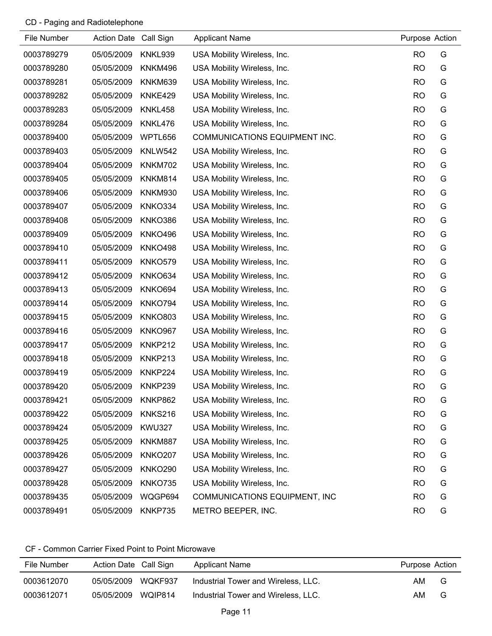| File Number | Action Date Call Sign |                | <b>Applicant Name</b>         | Purpose Action |   |
|-------------|-----------------------|----------------|-------------------------------|----------------|---|
| 0003789279  | 05/05/2009            | KNKL939        | USA Mobility Wireless, Inc.   | <b>RO</b>      | G |
| 0003789280  | 05/05/2009            | <b>KNKM496</b> | USA Mobility Wireless, Inc.   | <b>RO</b>      | G |
| 0003789281  | 05/05/2009            | KNKM639        | USA Mobility Wireless, Inc.   | <b>RO</b>      | G |
| 0003789282  | 05/05/2009            | KNKE429        | USA Mobility Wireless, Inc.   | <b>RO</b>      | G |
| 0003789283  | 05/05/2009            | KNKL458        | USA Mobility Wireless, Inc.   | <b>RO</b>      | G |
| 0003789284  | 05/05/2009            | KNKL476        | USA Mobility Wireless, Inc.   | <b>RO</b>      | G |
| 0003789400  | 05/05/2009            | WPTL656        | COMMUNICATIONS EQUIPMENT INC. | <b>RO</b>      | G |
| 0003789403  | 05/05/2009            | <b>KNLW542</b> | USA Mobility Wireless, Inc.   | <b>RO</b>      | G |
| 0003789404  | 05/05/2009            | <b>KNKM702</b> | USA Mobility Wireless, Inc.   | <b>RO</b>      | G |
| 0003789405  | 05/05/2009            | <b>KNKM814</b> | USA Mobility Wireless, Inc.   | <b>RO</b>      | G |
| 0003789406  | 05/05/2009            | <b>KNKM930</b> | USA Mobility Wireless, Inc.   | <b>RO</b>      | G |
| 0003789407  | 05/05/2009            | KNKO334        | USA Mobility Wireless, Inc.   | <b>RO</b>      | G |
| 0003789408  | 05/05/2009            | KNKO386        | USA Mobility Wireless, Inc.   | <b>RO</b>      | G |
| 0003789409  | 05/05/2009            | <b>KNKO496</b> | USA Mobility Wireless, Inc.   | <b>RO</b>      | G |
| 0003789410  | 05/05/2009            | <b>KNKO498</b> | USA Mobility Wireless, Inc.   | <b>RO</b>      | G |
| 0003789411  | 05/05/2009            | <b>KNKO579</b> | USA Mobility Wireless, Inc.   | <b>RO</b>      | G |
| 0003789412  | 05/05/2009            | <b>KNKO634</b> | USA Mobility Wireless, Inc.   | <b>RO</b>      | G |
| 0003789413  | 05/05/2009            | KNKO694        | USA Mobility Wireless, Inc.   | <b>RO</b>      | G |
| 0003789414  | 05/05/2009            | KNKO794        | USA Mobility Wireless, Inc.   | <b>RO</b>      | G |
| 0003789415  | 05/05/2009            | <b>KNKO803</b> | USA Mobility Wireless, Inc.   | <b>RO</b>      | G |
| 0003789416  | 05/05/2009            | <b>KNKO967</b> | USA Mobility Wireless, Inc.   | <b>RO</b>      | G |
| 0003789417  | 05/05/2009            | KNKP212        | USA Mobility Wireless, Inc.   | <b>RO</b>      | G |
| 0003789418  | 05/05/2009            | KNKP213        | USA Mobility Wireless, Inc.   | <b>RO</b>      | G |
| 0003789419  | 05/05/2009            | KNKP224        | USA Mobility Wireless, Inc.   | <b>RO</b>      | G |
| 0003789420  | 05/05/2009            | KNKP239        | USA Mobility Wireless, Inc.   | <b>RO</b>      | G |
| 0003789421  | 05/05/2009            | KNKP862        | USA Mobility Wireless, Inc.   | <b>RO</b>      | G |
| 0003789422  | 05/05/2009            | <b>KNKS216</b> | USA Mobility Wireless, Inc.   | <b>RO</b>      | G |
| 0003789424  | 05/05/2009            | <b>KWU327</b>  | USA Mobility Wireless, Inc.   | <b>RO</b>      | G |
| 0003789425  | 05/05/2009            | <b>KNKM887</b> | USA Mobility Wireless, Inc.   | <b>RO</b>      | G |
| 0003789426  | 05/05/2009            | <b>KNKO207</b> | USA Mobility Wireless, Inc.   | <b>RO</b>      | G |
| 0003789427  | 05/05/2009            | <b>KNKO290</b> | USA Mobility Wireless, Inc.   | <b>RO</b>      | G |
| 0003789428  | 05/05/2009            | <b>KNKO735</b> | USA Mobility Wireless, Inc.   | <b>RO</b>      | G |
| 0003789435  | 05/05/2009            | WQGP694        | COMMUNICATIONS EQUIPMENT, INC | <b>RO</b>      | G |
| 0003789491  | 05/05/2009            | KNKP735        | METRO BEEPER, INC.            | <b>RO</b>      | G |

| File Number | Action Date Call Sign |         | Applicant Name                      | Purpose Action |   |
|-------------|-----------------------|---------|-------------------------------------|----------------|---|
| 0003612070  | 05/05/2009            | WOKF937 | Industrial Tower and Wireless, LLC. | AM.            | G |
| 0003612071  | 05/05/2009 WQIP814    |         | Industrial Tower and Wireless, LLC. | AM.            | G |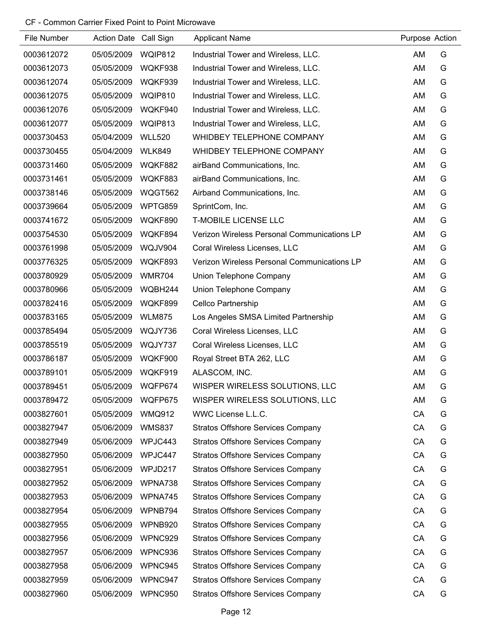| File Number | Action Date Call Sign |               | <b>Applicant Name</b>                       | Purpose Action |   |
|-------------|-----------------------|---------------|---------------------------------------------|----------------|---|
| 0003612072  | 05/05/2009            | WQIP812       | Industrial Tower and Wireless, LLC.         | AM             | G |
| 0003612073  | 05/05/2009            | WQKF938       | Industrial Tower and Wireless, LLC.         | AM             | G |
| 0003612074  | 05/05/2009            | WQKF939       | Industrial Tower and Wireless, LLC.         | AM             | G |
| 0003612075  | 05/05/2009            | WQIP810       | Industrial Tower and Wireless, LLC.         | AM             | G |
| 0003612076  | 05/05/2009            | WQKF940       | Industrial Tower and Wireless, LLC.         | AM             | G |
| 0003612077  | 05/05/2009            | WQIP813       | Industrial Tower and Wireless, LLC,         | AM             | G |
| 0003730453  | 05/04/2009            | <b>WLL520</b> | WHIDBEY TELEPHONE COMPANY                   | AM             | G |
| 0003730455  | 05/04/2009            | <b>WLK849</b> | WHIDBEY TELEPHONE COMPANY                   | AM             | G |
| 0003731460  | 05/05/2009            | WQKF882       | airBand Communications, Inc.                | AM             | G |
| 0003731461  | 05/05/2009            | WQKF883       | airBand Communications, Inc.                | AM             | G |
| 0003738146  | 05/05/2009            | WQGT562       | Airband Communications, Inc.                | AM             | G |
| 0003739664  | 05/05/2009            | WPTG859       | SprintCom, Inc.                             | AM             | G |
| 0003741672  | 05/05/2009            | WQKF890       | <b>T-MOBILE LICENSE LLC</b>                 | AM             | G |
| 0003754530  | 05/05/2009            | WQKF894       | Verizon Wireless Personal Communications LP | AM             | G |
| 0003761998  | 05/05/2009            | WQJV904       | Coral Wireless Licenses, LLC                | AM             | G |
| 0003776325  | 05/05/2009            | WQKF893       | Verizon Wireless Personal Communications LP | AM             | G |
| 0003780929  | 05/05/2009            | <b>WMR704</b> | Union Telephone Company                     | AM             | G |
| 0003780966  | 05/05/2009            | WQBH244       | Union Telephone Company                     | AM             | G |
| 0003782416  | 05/05/2009            | WQKF899       | Cellco Partnership                          | AM             | G |
| 0003783165  | 05/05/2009            | <b>WLM875</b> | Los Angeles SMSA Limited Partnership        | AM             | G |
| 0003785494  | 05/05/2009            | WQJY736       | Coral Wireless Licenses, LLC                | AM             | G |
| 0003785519  | 05/05/2009            | WQJY737       | Coral Wireless Licenses, LLC                | AM             | G |
| 0003786187  | 05/05/2009            | WQKF900       | Royal Street BTA 262, LLC                   | AM             | G |
| 0003789101  | 05/05/2009            | WQKF919       | ALASCOM, INC.                               | AM             | G |
| 0003789451  | 05/05/2009            | WQFP674       | WISPER WIRELESS SOLUTIONS, LLC              | AM             | G |
| 0003789472  | 05/05/2009            | WQFP675       | WISPER WIRELESS SOLUTIONS, LLC              | <b>AM</b>      | G |
| 0003827601  | 05/05/2009            | <b>WMQ912</b> | WWC License L.L.C.                          | CA             | G |
| 0003827947  | 05/06/2009            | <b>WMS837</b> | <b>Stratos Offshore Services Company</b>    | CA             | G |
| 0003827949  | 05/06/2009            | WPJC443       | <b>Stratos Offshore Services Company</b>    | CA             | G |
| 0003827950  | 05/06/2009            | WPJC447       | <b>Stratos Offshore Services Company</b>    | CA             | G |
| 0003827951  | 05/06/2009            | WPJD217       | <b>Stratos Offshore Services Company</b>    | CA             | G |
| 0003827952  | 05/06/2009            | WPNA738       | <b>Stratos Offshore Services Company</b>    | CA             | G |
| 0003827953  | 05/06/2009            | WPNA745       | <b>Stratos Offshore Services Company</b>    | CA             | G |
| 0003827954  | 05/06/2009            | WPNB794       | <b>Stratos Offshore Services Company</b>    | CA             | G |
| 0003827955  | 05/06/2009            | WPNB920       | <b>Stratos Offshore Services Company</b>    | CA             | G |
| 0003827956  | 05/06/2009            | WPNC929       | <b>Stratos Offshore Services Company</b>    | CA             | G |
| 0003827957  | 05/06/2009            | WPNC936       | <b>Stratos Offshore Services Company</b>    | CA             | G |
| 0003827958  | 05/06/2009            | WPNC945       | <b>Stratos Offshore Services Company</b>    | CA             | G |
| 0003827959  | 05/06/2009            | WPNC947       | <b>Stratos Offshore Services Company</b>    | CA             | G |
| 0003827960  | 05/06/2009            | WPNC950       | <b>Stratos Offshore Services Company</b>    | CA             | G |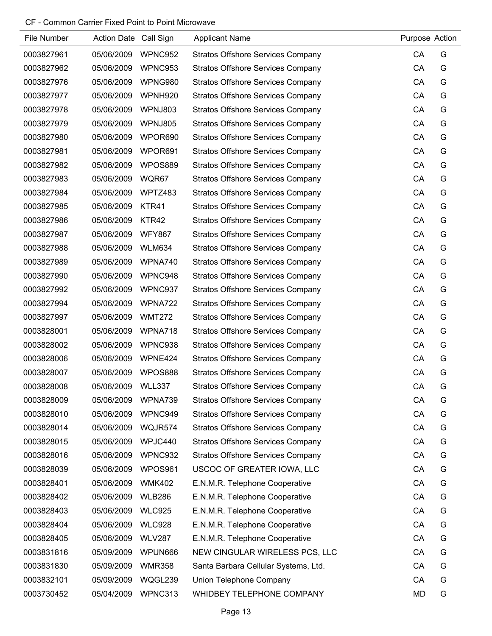| File Number | Action Date Call Sign |               | <b>Applicant Name</b>                    | Purpose Action |   |
|-------------|-----------------------|---------------|------------------------------------------|----------------|---|
| 0003827961  | 05/06/2009            | WPNC952       | <b>Stratos Offshore Services Company</b> | CA             | G |
| 0003827962  | 05/06/2009            | WPNC953       | <b>Stratos Offshore Services Company</b> | CA             | G |
| 0003827976  | 05/06/2009            | WPNG980       | <b>Stratos Offshore Services Company</b> | CA             | G |
| 0003827977  | 05/06/2009            | WPNH920       | <b>Stratos Offshore Services Company</b> | CA             | G |
| 0003827978  | 05/06/2009            | WPNJ803       | <b>Stratos Offshore Services Company</b> | CA             | G |
| 0003827979  | 05/06/2009            | WPNJ805       | <b>Stratos Offshore Services Company</b> | CA             | G |
| 0003827980  | 05/06/2009            | WPOR690       | <b>Stratos Offshore Services Company</b> | CA             | G |
| 0003827981  | 05/06/2009            | WPOR691       | <b>Stratos Offshore Services Company</b> | CA             | G |
| 0003827982  | 05/06/2009            | WPOS889       | <b>Stratos Offshore Services Company</b> | CA             | G |
| 0003827983  | 05/06/2009            | WQR67         | <b>Stratos Offshore Services Company</b> | CA             | G |
| 0003827984  | 05/06/2009            | WPTZ483       | <b>Stratos Offshore Services Company</b> | CA             | G |
| 0003827985  | 05/06/2009            | KTR41         | <b>Stratos Offshore Services Company</b> | CA             | G |
| 0003827986  | 05/06/2009            | KTR42         | <b>Stratos Offshore Services Company</b> | CA             | G |
| 0003827987  | 05/06/2009            | <b>WFY867</b> | <b>Stratos Offshore Services Company</b> | CA             | G |
| 0003827988  | 05/06/2009            | <b>WLM634</b> | <b>Stratos Offshore Services Company</b> | CA             | G |
| 0003827989  | 05/06/2009            | WPNA740       | <b>Stratos Offshore Services Company</b> | CA             | G |
| 0003827990  | 05/06/2009            | WPNC948       | <b>Stratos Offshore Services Company</b> | CA             | G |
| 0003827992  | 05/06/2009            | WPNC937       | <b>Stratos Offshore Services Company</b> | CA             | G |
| 0003827994  | 05/06/2009            | WPNA722       | <b>Stratos Offshore Services Company</b> | CA             | G |
| 0003827997  | 05/06/2009            | <b>WMT272</b> | <b>Stratos Offshore Services Company</b> | CA             | G |
| 0003828001  | 05/06/2009            | WPNA718       | <b>Stratos Offshore Services Company</b> | CA             | G |
| 0003828002  | 05/06/2009            | WPNC938       | <b>Stratos Offshore Services Company</b> | CA             | G |
| 0003828006  | 05/06/2009            | WPNE424       | <b>Stratos Offshore Services Company</b> | CA             | G |
| 0003828007  | 05/06/2009            | WPOS888       | <b>Stratos Offshore Services Company</b> | CA             | G |
| 0003828008  | 05/06/2009            | WLL337        | <b>Stratos Offshore Services Company</b> | CA             | G |
| 0003828009  | 05/06/2009            | WPNA739       | <b>Stratos Offshore Services Company</b> | CA             | G |
| 0003828010  | 05/06/2009            | WPNC949       | <b>Stratos Offshore Services Company</b> | CA             | G |
| 0003828014  | 05/06/2009            | WQJR574       | <b>Stratos Offshore Services Company</b> | CA             | G |
| 0003828015  | 05/06/2009            | WPJC440       | <b>Stratos Offshore Services Company</b> | CA             | G |
| 0003828016  | 05/06/2009            | WPNC932       | <b>Stratos Offshore Services Company</b> | CA             | G |
| 0003828039  | 05/06/2009            | WPOS961       | USCOC OF GREATER IOWA, LLC               | CA             | G |
| 0003828401  | 05/06/2009            | <b>WMK402</b> | E.N.M.R. Telephone Cooperative           | CA             | G |
| 0003828402  | 05/06/2009            | <b>WLB286</b> | E.N.M.R. Telephone Cooperative           | CA             | G |
| 0003828403  | 05/06/2009            | <b>WLC925</b> | E.N.M.R. Telephone Cooperative           | CA             | G |
| 0003828404  | 05/06/2009            | <b>WLC928</b> | E.N.M.R. Telephone Cooperative           | CA             | G |
| 0003828405  | 05/06/2009            | <b>WLV287</b> | E.N.M.R. Telephone Cooperative           | CA             | G |
| 0003831816  | 05/09/2009            | WPUN666       | NEW CINGULAR WIRELESS PCS, LLC           | CA             | G |
| 0003831830  | 05/09/2009            | <b>WMR358</b> | Santa Barbara Cellular Systems, Ltd.     | CA             | G |
| 0003832101  | 05/09/2009            | WQGL239       | Union Telephone Company                  | CA             | G |
| 0003730452  | 05/04/2009            | WPNC313       | WHIDBEY TELEPHONE COMPANY                | <b>MD</b>      | G |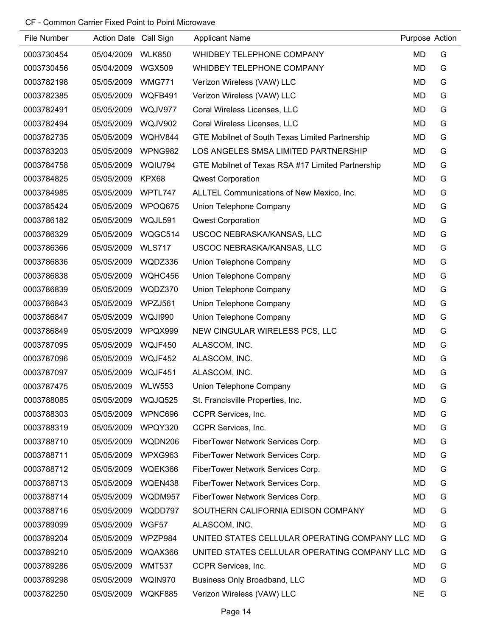| File Number | Action Date Call Sign |                | <b>Applicant Name</b>                             | Purpose Action |   |
|-------------|-----------------------|----------------|---------------------------------------------------|----------------|---|
| 0003730454  | 05/04/2009            | <b>WLK850</b>  | WHIDBEY TELEPHONE COMPANY                         | <b>MD</b>      | G |
| 0003730456  | 05/04/2009            | <b>WGX509</b>  | WHIDBEY TELEPHONE COMPANY                         | <b>MD</b>      | G |
| 0003782198  | 05/05/2009            | <b>WMG771</b>  | Verizon Wireless (VAW) LLC                        | <b>MD</b>      | G |
| 0003782385  | 05/05/2009            | WQFB491        | Verizon Wireless (VAW) LLC                        | <b>MD</b>      | G |
| 0003782491  | 05/05/2009            | WQJV977        | Coral Wireless Licenses, LLC                      | <b>MD</b>      | G |
| 0003782494  | 05/05/2009            | <b>WQJV902</b> | Coral Wireless Licenses, LLC                      | <b>MD</b>      | G |
| 0003782735  | 05/05/2009            | WQHV844        | GTE Mobilnet of South Texas Limited Partnership   | <b>MD</b>      | G |
| 0003783203  | 05/05/2009            | WPNG982        | LOS ANGELES SMSA LIMITED PARTNERSHIP              | MD             | G |
| 0003784758  | 05/05/2009            | WQIU794        | GTE Mobilnet of Texas RSA #17 Limited Partnership | <b>MD</b>      | G |
| 0003784825  | 05/05/2009            | KPX68          | <b>Qwest Corporation</b>                          | <b>MD</b>      | G |
| 0003784985  | 05/05/2009            | WPTL747        | ALLTEL Communications of New Mexico, Inc.         | <b>MD</b>      | G |
| 0003785424  | 05/05/2009            | WPOQ675        | Union Telephone Company                           | <b>MD</b>      | G |
| 0003786182  | 05/05/2009            | WQJL591        | <b>Qwest Corporation</b>                          | <b>MD</b>      | G |
| 0003786329  | 05/05/2009            | WQGC514        | USCOC NEBRASKA/KANSAS, LLC                        | <b>MD</b>      | G |
| 0003786366  | 05/05/2009            | <b>WLS717</b>  | USCOC NEBRASKA/KANSAS, LLC                        | MD             | G |
| 0003786836  | 05/05/2009            | WQDZ336        | Union Telephone Company                           | <b>MD</b>      | G |
| 0003786838  | 05/05/2009            | WQHC456        | Union Telephone Company                           | MD             | G |
| 0003786839  | 05/05/2009            | WQDZ370        | Union Telephone Company                           | <b>MD</b>      | G |
| 0003786843  | 05/05/2009            | WPZJ561        | Union Telephone Company                           | <b>MD</b>      | G |
| 0003786847  | 05/05/2009            | WQJI990        | Union Telephone Company                           | <b>MD</b>      | G |
| 0003786849  | 05/05/2009            | WPQX999        | NEW CINGULAR WIRELESS PCS, LLC                    | MD             | G |
| 0003787095  | 05/05/2009            | WQJF450        | ALASCOM, INC.                                     | <b>MD</b>      | G |
| 0003787096  | 05/05/2009            | WQJF452        | ALASCOM, INC.                                     | <b>MD</b>      | G |
| 0003787097  | 05/05/2009            | WQJF451        | ALASCOM, INC.                                     | <b>MD</b>      | G |
| 0003787475  | 05/05/2009            | <b>WLW553</b>  | Union Telephone Company                           | MD             | G |
| 0003788085  | 05/05/2009            | WQJQ525        | St. Francisville Properties, Inc.                 | MD             | G |
| 0003788303  | 05/05/2009            | WPNC696        | CCPR Services, Inc.                               | <b>MD</b>      | G |
| 0003788319  | 05/05/2009            | WPQY320        | CCPR Services, Inc.                               | MD             | G |
| 0003788710  | 05/05/2009            | WQDN206        | FiberTower Network Services Corp.                 | MD             | G |
| 0003788711  | 05/05/2009            | WPXG963        | FiberTower Network Services Corp.                 | MD             | G |
| 0003788712  | 05/05/2009            | WQEK366        | FiberTower Network Services Corp.                 | <b>MD</b>      | G |
| 0003788713  | 05/05/2009            | WQEN438        | FiberTower Network Services Corp.                 | <b>MD</b>      | G |
| 0003788714  | 05/05/2009            | WQDM957        | FiberTower Network Services Corp.                 | <b>MD</b>      | G |
| 0003788716  | 05/05/2009            | WQDD797        | SOUTHERN CALIFORNIA EDISON COMPANY                | MD             | G |
| 0003789099  | 05/05/2009            | WGF57          | ALASCOM, INC.                                     | MD             | G |
| 0003789204  | 05/05/2009            | WPZP984        | UNITED STATES CELLULAR OPERATING COMPANY LLC MD   |                | G |
| 0003789210  | 05/05/2009            | WQAX366        | UNITED STATES CELLULAR OPERATING COMPANY LLC MD   |                | G |
| 0003789286  | 05/05/2009            | <b>WMT537</b>  | CCPR Services, Inc.                               | MD             | G |
| 0003789298  | 05/05/2009            | WQIN970        | Business Only Broadband, LLC                      | <b>MD</b>      | G |
| 0003782250  | 05/05/2009            | WQKF885        | Verizon Wireless (VAW) LLC                        | <b>NE</b>      | G |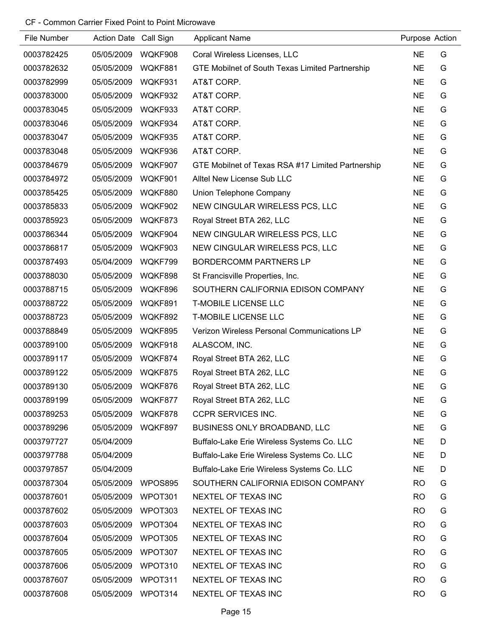| File Number | Action Date Call Sign |         | <b>Applicant Name</b>                             | Purpose Action |   |
|-------------|-----------------------|---------|---------------------------------------------------|----------------|---|
| 0003782425  | 05/05/2009            | WQKF908 | Coral Wireless Licenses, LLC                      | <b>NE</b>      | G |
| 0003782632  | 05/05/2009            | WQKF881 | GTE Mobilnet of South Texas Limited Partnership   | <b>NE</b>      | G |
| 0003782999  | 05/05/2009            | WQKF931 | AT&T CORP.                                        | <b>NE</b>      | G |
| 0003783000  | 05/05/2009            | WQKF932 | AT&T CORP.                                        | <b>NE</b>      | G |
| 0003783045  | 05/05/2009            | WQKF933 | AT&T CORP.                                        | <b>NE</b>      | G |
| 0003783046  | 05/05/2009            | WQKF934 | AT&T CORP.                                        | <b>NE</b>      | G |
| 0003783047  | 05/05/2009            | WQKF935 | AT&T CORP.                                        | <b>NE</b>      | G |
| 0003783048  | 05/05/2009            | WQKF936 | AT&T CORP.                                        | <b>NE</b>      | G |
| 0003784679  | 05/05/2009            | WQKF907 | GTE Mobilnet of Texas RSA #17 Limited Partnership | <b>NE</b>      | G |
| 0003784972  | 05/05/2009            | WQKF901 | Alltel New License Sub LLC                        | <b>NE</b>      | G |
| 0003785425  | 05/05/2009            | WQKF880 | Union Telephone Company                           | <b>NE</b>      | G |
| 0003785833  | 05/05/2009            | WQKF902 | NEW CINGULAR WIRELESS PCS, LLC                    | <b>NE</b>      | G |
| 0003785923  | 05/05/2009            | WQKF873 | Royal Street BTA 262, LLC                         | <b>NE</b>      | G |
| 0003786344  | 05/05/2009            | WQKF904 | NEW CINGULAR WIRELESS PCS, LLC                    | <b>NE</b>      | G |
| 0003786817  | 05/05/2009            | WQKF903 | NEW CINGULAR WIRELESS PCS, LLC                    | <b>NE</b>      | G |
| 0003787493  | 05/04/2009            | WQKF799 | <b>BORDERCOMM PARTNERS LP</b>                     | <b>NE</b>      | G |
| 0003788030  | 05/05/2009            | WQKF898 | St Francisville Properties, Inc.                  | <b>NE</b>      | G |
| 0003788715  | 05/05/2009            | WQKF896 | SOUTHERN CALIFORNIA EDISON COMPANY                | <b>NE</b>      | G |
| 0003788722  | 05/05/2009            | WQKF891 | <b>T-MOBILE LICENSE LLC</b>                       | <b>NE</b>      | G |
| 0003788723  | 05/05/2009            | WQKF892 | <b>T-MOBILE LICENSE LLC</b>                       | <b>NE</b>      | G |
| 0003788849  | 05/05/2009            | WQKF895 | Verizon Wireless Personal Communications LP       | <b>NE</b>      | G |
| 0003789100  | 05/05/2009            | WQKF918 | ALASCOM, INC.                                     | <b>NE</b>      | G |
| 0003789117  | 05/05/2009            | WQKF874 | Royal Street BTA 262, LLC                         | <b>NE</b>      | G |
| 0003789122  | 05/05/2009            | WQKF875 | Royal Street BTA 262, LLC                         | <b>NE</b>      | G |
| 0003789130  | 05/05/2009            | WQKF876 | Royal Street BTA 262, LLC                         | <b>NE</b>      | G |
| 0003789199  | 05/05/2009            | WQKF877 | Royal Street BTA 262, LLC                         | <b>NE</b>      | G |
| 0003789253  | 05/05/2009            | WQKF878 | <b>CCPR SERVICES INC.</b>                         | <b>NE</b>      | G |
| 0003789296  | 05/05/2009            | WQKF897 | BUSINESS ONLY BROADBAND, LLC                      | <b>NE</b>      | G |
| 0003797727  | 05/04/2009            |         | Buffalo-Lake Erie Wireless Systems Co. LLC        | <b>NE</b>      | D |
| 0003797788  | 05/04/2009            |         | Buffalo-Lake Erie Wireless Systems Co. LLC        | <b>NE</b>      | D |
| 0003797857  | 05/04/2009            |         | Buffalo-Lake Erie Wireless Systems Co. LLC        | <b>NE</b>      | D |
| 0003787304  | 05/05/2009            | WPOS895 | SOUTHERN CALIFORNIA EDISON COMPANY                | <b>RO</b>      | G |
| 0003787601  | 05/05/2009            | WPOT301 | NEXTEL OF TEXAS INC                               | <b>RO</b>      | G |
| 0003787602  | 05/05/2009            | WPOT303 | NEXTEL OF TEXAS INC                               | <b>RO</b>      | G |
| 0003787603  | 05/05/2009            | WPOT304 | NEXTEL OF TEXAS INC                               | <b>RO</b>      | G |
| 0003787604  | 05/05/2009            | WPOT305 | NEXTEL OF TEXAS INC                               | <b>RO</b>      | G |
| 0003787605  | 05/05/2009            | WPOT307 | NEXTEL OF TEXAS INC                               | <b>RO</b>      | G |
| 0003787606  | 05/05/2009            | WPOT310 | NEXTEL OF TEXAS INC                               | <b>RO</b>      | G |
| 0003787607  | 05/05/2009            | WPOT311 | NEXTEL OF TEXAS INC                               | <b>RO</b>      | G |
| 0003787608  | 05/05/2009            | WPOT314 | NEXTEL OF TEXAS INC                               | <b>RO</b>      | G |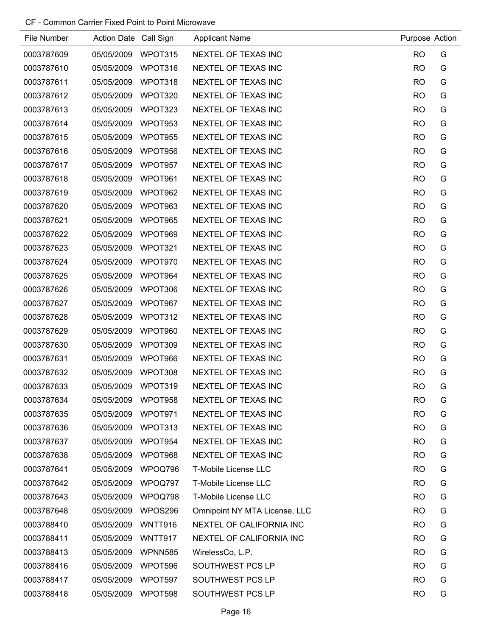| File Number | Action Date Call Sign |                | <b>Applicant Name</b>         | Purpose Action |   |
|-------------|-----------------------|----------------|-------------------------------|----------------|---|
| 0003787609  | 05/05/2009            | WPOT315        | NEXTEL OF TEXAS INC           | <b>RO</b>      | G |
| 0003787610  | 05/05/2009            | WPOT316        | NEXTEL OF TEXAS INC           | <b>RO</b>      | G |
| 0003787611  | 05/05/2009            | WPOT318        | NEXTEL OF TEXAS INC           | <b>RO</b>      | G |
| 0003787612  | 05/05/2009            | WPOT320        | NEXTEL OF TEXAS INC           | <b>RO</b>      | G |
| 0003787613  | 05/05/2009            | WPOT323        | NEXTEL OF TEXAS INC           | <b>RO</b>      | G |
| 0003787614  | 05/05/2009            | WPOT953        | NEXTEL OF TEXAS INC           | <b>RO</b>      | G |
| 0003787615  | 05/05/2009            | WPOT955        | NEXTEL OF TEXAS INC           | <b>RO</b>      | G |
| 0003787616  | 05/05/2009            | WPOT956        | NEXTEL OF TEXAS INC           | <b>RO</b>      | G |
| 0003787617  | 05/05/2009            | WPOT957        | NEXTEL OF TEXAS INC           | <b>RO</b>      | G |
| 0003787618  | 05/05/2009            | WPOT961        | NEXTEL OF TEXAS INC           | <b>RO</b>      | G |
| 0003787619  | 05/05/2009            | WPOT962        | NEXTEL OF TEXAS INC           | <b>RO</b>      | G |
| 0003787620  | 05/05/2009            | WPOT963        | NEXTEL OF TEXAS INC           | <b>RO</b>      | G |
| 0003787621  | 05/05/2009            | WPOT965        | NEXTEL OF TEXAS INC           | <b>RO</b>      | G |
| 0003787622  | 05/05/2009            | WPOT969        | NEXTEL OF TEXAS INC           | <b>RO</b>      | G |
| 0003787623  | 05/05/2009            | WPOT321        | NEXTEL OF TEXAS INC           | <b>RO</b>      | G |
| 0003787624  | 05/05/2009            | WPOT970        | NEXTEL OF TEXAS INC           | <b>RO</b>      | G |
| 0003787625  | 05/05/2009            | WPOT964        | NEXTEL OF TEXAS INC           | <b>RO</b>      | G |
| 0003787626  | 05/05/2009            | WPOT306        | NEXTEL OF TEXAS INC           | <b>RO</b>      | G |
| 0003787627  | 05/05/2009            | WPOT967        | NEXTEL OF TEXAS INC           | <b>RO</b>      | G |
| 0003787628  | 05/05/2009            | WPOT312        | NEXTEL OF TEXAS INC           | <b>RO</b>      | G |
| 0003787629  | 05/05/2009            | WPOT960        | NEXTEL OF TEXAS INC           | <b>RO</b>      | G |
| 0003787630  | 05/05/2009            | WPOT309        | NEXTEL OF TEXAS INC           | <b>RO</b>      | G |
| 0003787631  | 05/05/2009            | WPOT966        | NEXTEL OF TEXAS INC           | <b>RO</b>      | G |
| 0003787632  | 05/05/2009            | WPOT308        | NEXTEL OF TEXAS INC           | <b>RO</b>      | G |
| 0003787633  | 05/05/2009            | WPOT319        | NEXTEL OF TEXAS INC           | <b>RO</b>      | G |
| 0003787634  | 05/05/2009            | WPOT958        | NEXTEL OF TEXAS INC           | <b>RO</b>      | G |
| 0003787635  | 05/05/2009            | WPOT971        | NEXTEL OF TEXAS INC           | <b>RO</b>      | G |
| 0003787636  | 05/05/2009            | WPOT313        | NEXTEL OF TEXAS INC           | <b>RO</b>      | G |
| 0003787637  | 05/05/2009            | WPOT954        | NEXTEL OF TEXAS INC           | <b>RO</b>      | G |
| 0003787638  | 05/05/2009            | WPOT968        | NEXTEL OF TEXAS INC           | <b>RO</b>      | G |
| 0003787641  | 05/05/2009            | WPOQ796        | <b>T-Mobile License LLC</b>   | R <sub>O</sub> | G |
| 0003787642  | 05/05/2009            | WPOQ797        | <b>T-Mobile License LLC</b>   | <b>RO</b>      | G |
| 0003787643  | 05/05/2009            | WPOQ798        | T-Mobile License LLC          | <b>RO</b>      | G |
| 0003787648  | 05/05/2009            | WPOS296        | Omnipoint NY MTA License, LLC | <b>RO</b>      | G |
| 0003788410  | 05/05/2009            | WNTT916        | NEXTEL OF CALIFORNIA INC      | <b>RO</b>      | G |
| 0003788411  | 05/05/2009            | WNTT917        | NEXTEL OF CALIFORNIA INC      | <b>RO</b>      | G |
| 0003788413  | 05/05/2009            | <b>WPNN585</b> | WirelessCo, L.P.              | <b>RO</b>      | G |
| 0003788416  | 05/05/2009            | WPOT596        | SOUTHWEST PCS LP              | <b>RO</b>      | G |
| 0003788417  | 05/05/2009            | WPOT597        | SOUTHWEST PCS LP              | <b>RO</b>      | G |
| 0003788418  | 05/05/2009            | WPOT598        | SOUTHWEST PCS LP              | <b>RO</b>      | G |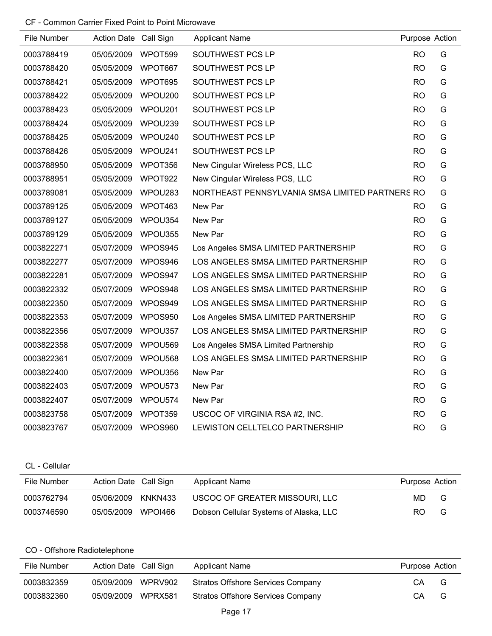| File Number | Action Date Call Sign |         | <b>Applicant Name</b>                           | Purpose Action |   |
|-------------|-----------------------|---------|-------------------------------------------------|----------------|---|
| 0003788419  | 05/05/2009            | WPOT599 | SOUTHWEST PCS LP                                | <b>RO</b>      | G |
| 0003788420  | 05/05/2009            | WPOT667 | SOUTHWEST PCS LP                                | <b>RO</b>      | G |
| 0003788421  | 05/05/2009            | WPOT695 | SOUTHWEST PCS LP                                | <b>RO</b>      | G |
| 0003788422  | 05/05/2009            | WPOU200 | SOUTHWEST PCS LP                                | <b>RO</b>      | G |
| 0003788423  | 05/05/2009            | WPOU201 | SOUTHWEST PCS LP                                | <b>RO</b>      | G |
| 0003788424  | 05/05/2009            | WPOU239 | SOUTHWEST PCS LP                                | <b>RO</b>      | G |
| 0003788425  | 05/05/2009            | WPOU240 | SOUTHWEST PCS LP                                | <b>RO</b>      | G |
| 0003788426  | 05/05/2009            | WPOU241 | SOUTHWEST PCS LP                                | <b>RO</b>      | G |
| 0003788950  | 05/05/2009            | WPOT356 | New Cingular Wireless PCS, LLC                  | <b>RO</b>      | G |
| 0003788951  | 05/05/2009            | WPOT922 | New Cingular Wireless PCS, LLC                  | <b>RO</b>      | G |
| 0003789081  | 05/05/2009            | WPOU283 | NORTHEAST PENNSYLVANIA SMSA LIMITED PARTNERS RO |                | G |
| 0003789125  | 05/05/2009            | WPOT463 | New Par                                         | <b>RO</b>      | G |
| 0003789127  | 05/05/2009            | WPOU354 | New Par                                         | <b>RO</b>      | G |
| 0003789129  | 05/05/2009            | WPOU355 | New Par                                         | <b>RO</b>      | G |
| 0003822271  | 05/07/2009            | WPOS945 | Los Angeles SMSA LIMITED PARTNERSHIP            | <b>RO</b>      | G |
| 0003822277  | 05/07/2009            | WPOS946 | LOS ANGELES SMSA LIMITED PARTNERSHIP            | <b>RO</b>      | G |
| 0003822281  | 05/07/2009            | WPOS947 | LOS ANGELES SMSA LIMITED PARTNERSHIP            | <b>RO</b>      | G |
| 0003822332  | 05/07/2009            | WPOS948 | LOS ANGELES SMSA LIMITED PARTNERSHIP            | <b>RO</b>      | G |
| 0003822350  | 05/07/2009            | WPOS949 | LOS ANGELES SMSA LIMITED PARTNERSHIP            | <b>RO</b>      | G |
| 0003822353  | 05/07/2009            | WPOS950 | Los Angeles SMSA LIMITED PARTNERSHIP            | <b>RO</b>      | G |
| 0003822356  | 05/07/2009            | WPOU357 | LOS ANGELES SMSA LIMITED PARTNERSHIP            | <b>RO</b>      | G |
| 0003822358  | 05/07/2009            | WPOU569 | Los Angeles SMSA Limited Partnership            | <b>RO</b>      | G |
| 0003822361  | 05/07/2009            | WPOU568 | LOS ANGELES SMSA LIMITED PARTNERSHIP            | <b>RO</b>      | G |
| 0003822400  | 05/07/2009            | WPOU356 | New Par                                         | <b>RO</b>      | G |
| 0003822403  | 05/07/2009            | WPOU573 | New Par                                         | <b>RO</b>      | G |
| 0003822407  | 05/07/2009            | WPOU574 | New Par                                         | <b>RO</b>      | G |
| 0003823758  | 05/07/2009            | WPOT359 | USCOC OF VIRGINIA RSA #2, INC.                  | <b>RO</b>      | G |
| 0003823767  | 05/07/2009            | WPOS960 | LEWISTON CELLTELCO PARTNERSHIP                  | <b>RO</b>      | G |

# CL - Cellular

| File Number | Action Date Call Sign |         | Applicant Name                         | Purpose Action |   |
|-------------|-----------------------|---------|----------------------------------------|----------------|---|
| 0003762794  | 05/06/2009            | KNKN433 | USCOC OF GREATER MISSOURI, LLC         | MD             | G |
| 0003746590  | 05/05/2009            | WPOI466 | Dobson Cellular Systems of Alaska, LLC | RO.            | G |

# CO - Offshore Radiotelephone

| File Number | Action Date Call Sign |         | <b>Applicant Name</b>             | Purpose Action |   |
|-------------|-----------------------|---------|-----------------------------------|----------------|---|
| 0003832359  | 05/09/2009            | WPRV902 | Stratos Offshore Services Company | CА             | G |
| 0003832360  | 05/09/2009            | WPRX581 | Stratos Offshore Services Company | CА             | G |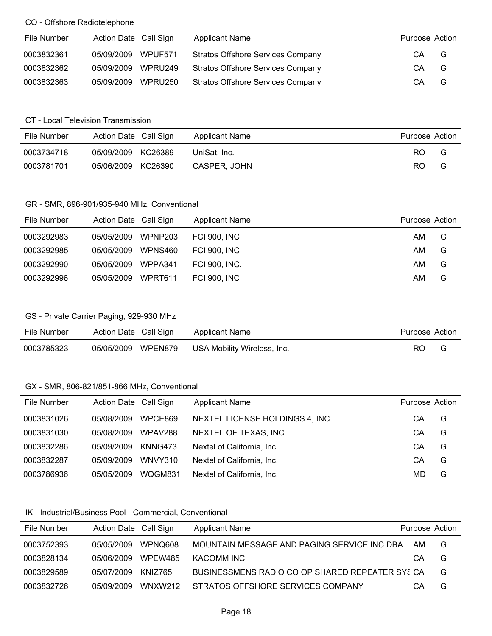#### CO - Offshore Radiotelephone

| File Number | Action Date Call Sign |         | <b>Applicant Name</b>                    | Purpose Action |   |
|-------------|-----------------------|---------|------------------------------------------|----------------|---|
| 0003832361  | 05/09/2009            | WPUF571 | <b>Stratos Offshore Services Company</b> | СA             | G |
| 0003832362  | 05/09/2009            | WPRU249 | <b>Stratos Offshore Services Company</b> | CA             | G |
| 0003832363  | 05/09/2009            | WPRU250 | <b>Stratos Offshore Services Company</b> | СA             | G |

#### CT - Local Television Transmission

| File Number | Action Date Call Sign |         | <b>Applicant Name</b> | Purpose Action |   |
|-------------|-----------------------|---------|-----------------------|----------------|---|
| 0003734718  | 05/09/2009 KC26389    |         | UniSat. Inc.          | RO.            | G |
| 0003781701  | 05/06/2009            | KC26390 | CASPER, JOHN          | RO.            | G |

#### GR - SMR, 896-901/935-940 MHz, Conventional

| File Number | Action Date Call Sign |         | <b>Applicant Name</b> | Purpose Action |   |
|-------------|-----------------------|---------|-----------------------|----------------|---|
| 0003292983  | 05/05/2009            | WPNP203 | <b>FCI 900. INC</b>   | AM             | G |
| 0003292985  | 05/05/2009            | WPNS460 | <b>FCI 900. INC</b>   | AM             | G |
| 0003292990  | 05/05/2009            | WPPA341 | FCI 900, INC.         | AM             | G |
| 0003292996  | 05/05/2009            | WPRT611 | <b>FCI 900, INC</b>   | AM             | G |

#### GS - Private Carrier Paging, 929-930 MHz

| File Number | Action Date Call Sign |         | Applicant Name              | Purpose Action |  |
|-------------|-----------------------|---------|-----------------------------|----------------|--|
| 0003785323  | 05/05/2009            | WPEN879 | USA Mobility Wireless, Inc. | RO             |  |

#### GX - SMR, 806-821/851-866 MHz, Conventional

| File Number | Action Date Call Sign |         | <b>Applicant Name</b>           | Purpose Action |   |
|-------------|-----------------------|---------|---------------------------------|----------------|---|
| 0003831026  | 05/08/2009            | WPCE869 | NEXTEL LICENSE HOLDINGS 4, INC. | СA             | G |
| 0003831030  | 05/08/2009            | WPAV288 | NEXTEL OF TEXAS, INC            | CА             | G |
| 0003832286  | 05/09/2009            | KNNG473 | Nextel of California, Inc.      | CА             | G |
| 0003832287  | 05/09/2009            | WNVY310 | Nextel of California, Inc.      | CА             | G |
| 0003786936  | 05/05/2009            | WQGM831 | Nextel of California, Inc.      | MD             | G |

#### IK - Industrial/Business Pool - Commercial, Conventional

| File Number | Action Date Call Sign |         | <b>Applicant Name</b>                           | Purpose Action |   |
|-------------|-----------------------|---------|-------------------------------------------------|----------------|---|
| 0003752393  | 05/05/2009            | WPNO608 | MOUNTAIN MESSAGE AND PAGING SERVICE INC DBA     | AM             | G |
| 0003828134  | 05/06/2009            | WPEW485 | KACOMM INC                                      | CA             | G |
| 0003829589  | 05/07/2009            | KNIZ765 | BUSINESSMENS RADIO CO OP SHARED REPEATER SYS CA |                | G |
| 0003832726  | 05/09/2009            | WNXW212 | STRATOS OFFSHORE SERVICES COMPANY               | CА             | G |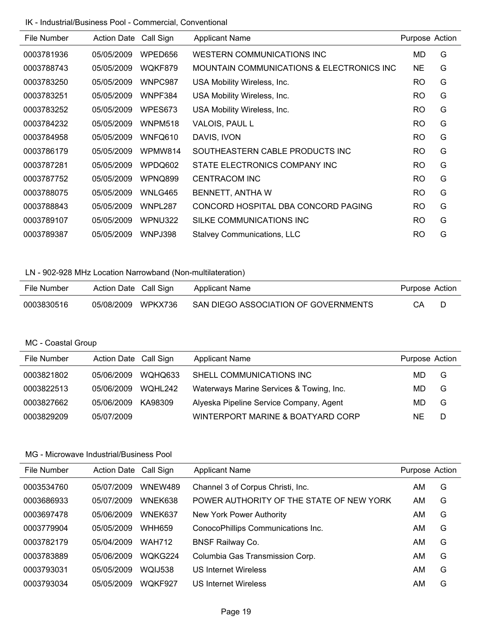#### IK - Industrial/Business Pool - Commercial, Conventional

| File Number | <b>Action Date</b> | Call Sign | <b>Applicant Name</b>                     | Purpose Action |   |
|-------------|--------------------|-----------|-------------------------------------------|----------------|---|
| 0003781936  | 05/05/2009         | WPED656   | WESTERN COMMUNICATIONS INC                | MD             | G |
| 0003788743  | 05/05/2009         | WQKF879   | MOUNTAIN COMMUNICATIONS & ELECTRONICS INC | <b>NE</b>      | G |
| 0003783250  | 05/05/2009         | WNPC987   | USA Mobility Wireless, Inc.               | <b>RO</b>      | G |
| 0003783251  | 05/05/2009         | WNPF384   | USA Mobility Wireless, Inc.               | <b>RO</b>      | G |
| 0003783252  | 05/05/2009         | WPES673   | USA Mobility Wireless, Inc.               | <b>RO</b>      | G |
| 0003784232  | 05/05/2009         | WNPM518   | VALOIS, PAUL L                            | <b>RO</b>      | G |
| 0003784958  | 05/05/2009         | WNFQ610   | DAVIS, IVON                               | <b>RO</b>      | G |
| 0003786179  | 05/05/2009         | WPMW814   | SOUTHEASTERN CABLE PRODUCTS INC           | <b>RO</b>      | G |
| 0003787281  | 05/05/2009         | WPDQ602   | STATE ELECTRONICS COMPANY INC             | <b>RO</b>      | G |
| 0003787752  | 05/05/2009         | WPNQ899   | <b>CENTRACOM INC</b>                      | <b>RO</b>      | G |
| 0003788075  | 05/05/2009         | WNLG465   | BENNETT, ANTHA W                          | <b>RO</b>      | G |
| 0003788843  | 05/05/2009         | WNPL287   | CONCORD HOSPITAL DBA CONCORD PAGING       | <b>RO</b>      | G |
| 0003789107  | 05/05/2009         | WPNU322   | SILKE COMMUNICATIONS INC                  | <b>RO</b>      | G |
| 0003789387  | 05/05/2009         | WNPJ398   | <b>Stalvey Communications, LLC</b>        | <b>RO</b>      | G |

# LN - 902-928 MHz Location Narrowband (Non-multilateration)

| File Number | Action Date Call Sign |         | Applicant Name                       | Purpose Action |  |
|-------------|-----------------------|---------|--------------------------------------|----------------|--|
| 0003830516  | 05/08/2009            | WPKX736 | SAN DIEGO ASSOCIATION OF GOVERNMENTS | CA.            |  |

# MC - Coastal Group

| File Number | Action Date Call Sign |                | <b>Applicant Name</b>                    | Purpose Action |   |
|-------------|-----------------------|----------------|------------------------------------------|----------------|---|
| 0003821802  | 05/06/2009            | WOHO633        | SHELL COMMUNICATIONS INC                 | MD             | G |
| 0003822513  | 05/06/2009            | <b>WOHL242</b> | Waterways Marine Services & Towing, Inc. | MD             | G |
| 0003827662  | 05/06/2009            | KA98309        | Alyeska Pipeline Service Company, Agent  | MD             | G |
| 0003829209  | 05/07/2009            |                | WINTERPORT MARINE & BOATYARD CORP        | ΝF             | D |

| File Number | <b>Action Date</b> | Call Sign      | <b>Applicant Name</b>                    | Purpose Action |   |
|-------------|--------------------|----------------|------------------------------------------|----------------|---|
| 0003534760  | 05/07/2009         | <b>WNEW489</b> | Channel 3 of Corpus Christi, Inc.        | AM             | G |
| 0003686933  | 05/07/2009         | WNEK638        | POWER AUTHORITY OF THE STATE OF NEW YORK | AM             | G |
| 0003697478  | 05/06/2009         | WNEK637        | New York Power Authority                 | AM             | G |
| 0003779904  | 05/05/2009         | <b>WHH659</b>  | ConocoPhillips Communications Inc.       | AM             | G |
| 0003782179  | 05/04/2009         | <b>WAH712</b>  | <b>BNSF Railway Co.</b>                  | AM             | G |
| 0003783889  | 05/06/2009         | WQKG224        | Columbia Gas Transmission Corp.          | AM             | G |
| 0003793031  | 05/05/2009         | <b>WQIJ538</b> | <b>US Internet Wireless</b>              | AM             | G |
| 0003793034  | 05/05/2009         | WQKF927        | <b>US Internet Wireless</b>              | AM             | G |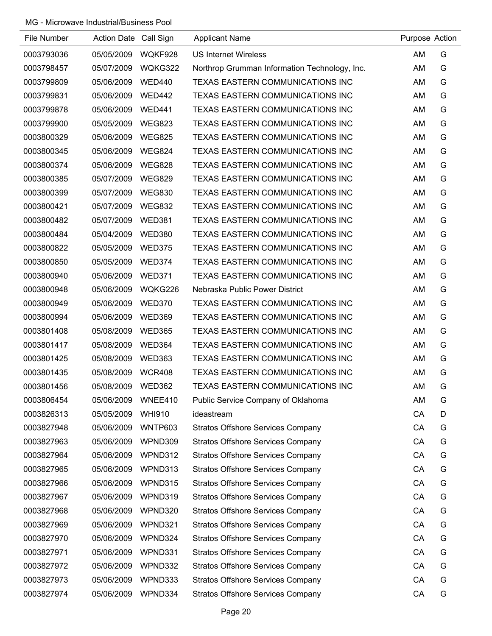| File Number | Action Date Call Sign |               | <b>Applicant Name</b>                         | Purpose Action |   |
|-------------|-----------------------|---------------|-----------------------------------------------|----------------|---|
| 0003793036  | 05/05/2009            | WQKF928       | <b>US Internet Wireless</b>                   | AM             | G |
| 0003798457  | 05/07/2009            | WQKG322       | Northrop Grumman Information Technology, Inc. | AM             | G |
| 0003799809  | 05/06/2009            | <b>WED440</b> | TEXAS EASTERN COMMUNICATIONS INC              | AM             | G |
| 0003799831  | 05/06/2009            | <b>WED442</b> | TEXAS EASTERN COMMUNICATIONS INC              | AM             | G |
| 0003799878  | 05/06/2009            | <b>WED441</b> | TEXAS EASTERN COMMUNICATIONS INC              | AM             | G |
| 0003799900  | 05/05/2009            | <b>WEG823</b> | TEXAS EASTERN COMMUNICATIONS INC              | AM             | G |
| 0003800329  | 05/06/2009            | <b>WEG825</b> | TEXAS EASTERN COMMUNICATIONS INC              | AM             | G |
| 0003800345  | 05/06/2009            | <b>WEG824</b> | TEXAS EASTERN COMMUNICATIONS INC              | AM             | G |
| 0003800374  | 05/06/2009            | <b>WEG828</b> | TEXAS EASTERN COMMUNICATIONS INC              | AM             | G |
| 0003800385  | 05/07/2009            | <b>WEG829</b> | TEXAS EASTERN COMMUNICATIONS INC              | AM             | G |
| 0003800399  | 05/07/2009            | <b>WEG830</b> | TEXAS EASTERN COMMUNICATIONS INC              | AM             | G |
| 0003800421  | 05/07/2009            | <b>WEG832</b> | TEXAS EASTERN COMMUNICATIONS INC              | AM             | G |
| 0003800482  | 05/07/2009            | <b>WED381</b> | TEXAS EASTERN COMMUNICATIONS INC              | AM             | G |
| 0003800484  | 05/04/2009            | <b>WED380</b> | TEXAS EASTERN COMMUNICATIONS INC              | AM             | G |
| 0003800822  | 05/05/2009            | <b>WED375</b> | <b>TEXAS EASTERN COMMUNICATIONS INC</b>       | AM             | G |
| 0003800850  | 05/05/2009            | <b>WED374</b> | TEXAS EASTERN COMMUNICATIONS INC              | AM             | G |
| 0003800940  | 05/06/2009            | <b>WED371</b> | TEXAS EASTERN COMMUNICATIONS INC              | AM             | G |
| 0003800948  | 05/06/2009            | WQKG226       | Nebraska Public Power District                | AM             | G |
| 0003800949  | 05/06/2009            | <b>WED370</b> | TEXAS EASTERN COMMUNICATIONS INC              | AM             | G |
| 0003800994  | 05/06/2009            | <b>WED369</b> | TEXAS EASTERN COMMUNICATIONS INC              | AM             | G |
| 0003801408  | 05/08/2009            | <b>WED365</b> | TEXAS EASTERN COMMUNICATIONS INC              | AM             | G |
| 0003801417  | 05/08/2009            | WED364        | TEXAS EASTERN COMMUNICATIONS INC              | AM             | G |
| 0003801425  | 05/08/2009            | WED363        | TEXAS EASTERN COMMUNICATIONS INC              | AM             | G |
| 0003801435  | 05/08/2009            | <b>WCR408</b> | TEXAS EASTERN COMMUNICATIONS INC              | AM             | G |
| 0003801456  | 05/08/2009            | WED362        | TEXAS EASTERN COMMUNICATIONS INC              | AM             | G |
| 0003806454  | 05/06/2009            | WNEE410       | Public Service Company of Oklahoma            | AM             | G |
| 0003826313  | 05/05/2009            | <b>WHI910</b> | ideastream                                    | CA             | D |
| 0003827948  | 05/06/2009            | WNTP603       | <b>Stratos Offshore Services Company</b>      | CA             | G |
| 0003827963  | 05/06/2009            | WPND309       | <b>Stratos Offshore Services Company</b>      | CA             | G |
| 0003827964  | 05/06/2009            | WPND312       | <b>Stratos Offshore Services Company</b>      | CA             | G |
| 0003827965  | 05/06/2009            | WPND313       | <b>Stratos Offshore Services Company</b>      | CA             | G |
| 0003827966  | 05/06/2009            | WPND315       | <b>Stratos Offshore Services Company</b>      | CA             | G |
| 0003827967  | 05/06/2009            | WPND319       | <b>Stratos Offshore Services Company</b>      | CA             | G |
| 0003827968  | 05/06/2009            | WPND320       | <b>Stratos Offshore Services Company</b>      | CA             | G |
| 0003827969  | 05/06/2009            | WPND321       | <b>Stratos Offshore Services Company</b>      | CA             | G |
| 0003827970  | 05/06/2009            | WPND324       | <b>Stratos Offshore Services Company</b>      | CA             | G |
| 0003827971  | 05/06/2009            | WPND331       | <b>Stratos Offshore Services Company</b>      | CA             | G |
| 0003827972  | 05/06/2009            | WPND332       | <b>Stratos Offshore Services Company</b>      | CA             | G |
| 0003827973  | 05/06/2009            | WPND333       | <b>Stratos Offshore Services Company</b>      | CA             | G |
| 0003827974  | 05/06/2009            | WPND334       | <b>Stratos Offshore Services Company</b>      | CA             | G |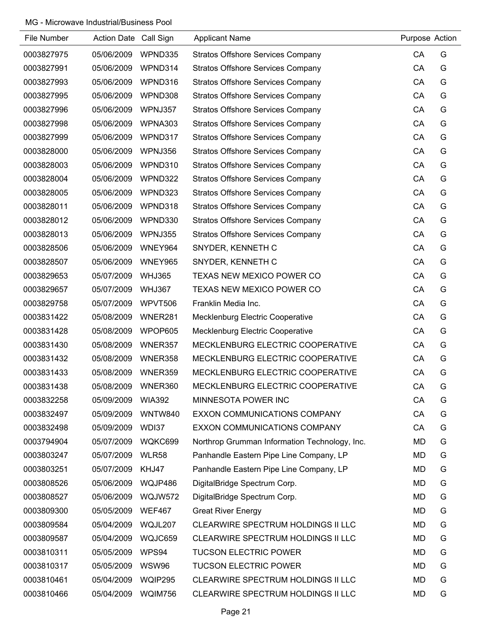| File Number | Action Date Call Sign |                | <b>Applicant Name</b>                         | Purpose Action |   |
|-------------|-----------------------|----------------|-----------------------------------------------|----------------|---|
| 0003827975  | 05/06/2009            | WPND335        | <b>Stratos Offshore Services Company</b>      | CA             | G |
| 0003827991  | 05/06/2009            | WPND314        | <b>Stratos Offshore Services Company</b>      | CA             | G |
| 0003827993  | 05/06/2009            | WPND316        | <b>Stratos Offshore Services Company</b>      | CA             | G |
| 0003827995  | 05/06/2009            | WPND308        | <b>Stratos Offshore Services Company</b>      | CA             | G |
| 0003827996  | 05/06/2009            | WPNJ357        | <b>Stratos Offshore Services Company</b>      | CA             | G |
| 0003827998  | 05/06/2009            | WPNA303        | <b>Stratos Offshore Services Company</b>      | CA             | G |
| 0003827999  | 05/06/2009            | WPND317        | <b>Stratos Offshore Services Company</b>      | CA             | G |
| 0003828000  | 05/06/2009            | WPNJ356        | <b>Stratos Offshore Services Company</b>      | CA             | G |
| 0003828003  | 05/06/2009            | WPND310        | <b>Stratos Offshore Services Company</b>      | CA             | G |
| 0003828004  | 05/06/2009            | WPND322        | <b>Stratos Offshore Services Company</b>      | CA             | G |
| 0003828005  | 05/06/2009            | WPND323        | <b>Stratos Offshore Services Company</b>      | CA             | G |
| 0003828011  | 05/06/2009            | WPND318        | <b>Stratos Offshore Services Company</b>      | CA             | G |
| 0003828012  | 05/06/2009            | WPND330        | <b>Stratos Offshore Services Company</b>      | CA             | G |
| 0003828013  | 05/06/2009            | WPNJ355        | <b>Stratos Offshore Services Company</b>      | CA             | G |
| 0003828506  | 05/06/2009            | WNEY964        | SNYDER, KENNETH C                             | CA             | G |
| 0003828507  | 05/06/2009            | <b>WNEY965</b> | SNYDER, KENNETH C                             | CA             | G |
| 0003829653  | 05/07/2009            | <b>WHJ365</b>  | TEXAS NEW MEXICO POWER CO                     | CA             | G |
| 0003829657  | 05/07/2009            | <b>WHJ367</b>  | TEXAS NEW MEXICO POWER CO                     | CA             | G |
| 0003829758  | 05/07/2009            | WPVT506        | Franklin Media Inc.                           | CA             | G |
| 0003831422  | 05/08/2009            | WNER281        | <b>Mecklenburg Electric Cooperative</b>       | CA             | G |
| 0003831428  | 05/08/2009            | WPOP605        | Mecklenburg Electric Cooperative              | CA             | G |
| 0003831430  | 05/08/2009            | WNER357        | MECKLENBURG ELECTRIC COOPERATIVE              | CA             | G |
| 0003831432  | 05/08/2009            | WNER358        | MECKLENBURG ELECTRIC COOPERATIVE              | CA             | G |
| 0003831433  | 05/08/2009            | WNER359        | MECKLENBURG ELECTRIC COOPERATIVE              | CA             | G |
| 0003831438  | 05/08/2009            | WNER360        | MECKLENBURG ELECTRIC COOPERATIVE              | CA             | G |
| 0003832258  | 05/09/2009            | <b>WIA392</b>  | MINNESOTA POWER INC                           | CA             | G |
| 0003832497  | 05/09/2009            | WNTW840        | EXXON COMMUNICATIONS COMPANY                  | CA             | G |
| 0003832498  | 05/09/2009            | WDI37          | EXXON COMMUNICATIONS COMPANY                  | CA             | G |
| 0003794904  | 05/07/2009            | WQKC699        | Northrop Grumman Information Technology, Inc. | MD             | G |
| 0003803247  | 05/07/2009            | WLR58          | Panhandle Eastern Pipe Line Company, LP       | <b>MD</b>      | G |
| 0003803251  | 05/07/2009            | KHJ47          | Panhandle Eastern Pipe Line Company, LP       | MD             | G |
| 0003808526  | 05/06/2009            | WQJP486        | DigitalBridge Spectrum Corp.                  | MD             | G |
| 0003808527  | 05/06/2009            | WQJW572        | DigitalBridge Spectrum Corp.                  | <b>MD</b>      | G |
| 0003809300  | 05/05/2009            | <b>WEF467</b>  | <b>Great River Energy</b>                     | MD             | G |
| 0003809584  | 05/04/2009            | WQJL207        | CLEARWIRE SPECTRUM HOLDINGS II LLC            | MD             | G |
| 0003809587  | 05/04/2009            | WQJC659        | CLEARWIRE SPECTRUM HOLDINGS II LLC            | MD             | G |
| 0003810311  | 05/05/2009            | WPS94          | <b>TUCSON ELECTRIC POWER</b>                  | MD             | G |
| 0003810317  | 05/05/2009            | WSW96          | <b>TUCSON ELECTRIC POWER</b>                  | MD             | G |
| 0003810461  | 05/04/2009            | WQIP295        | CLEARWIRE SPECTRUM HOLDINGS II LLC            | MD             | G |
| 0003810466  | 05/04/2009            | WQIM756        | CLEARWIRE SPECTRUM HOLDINGS II LLC            | <b>MD</b>      | G |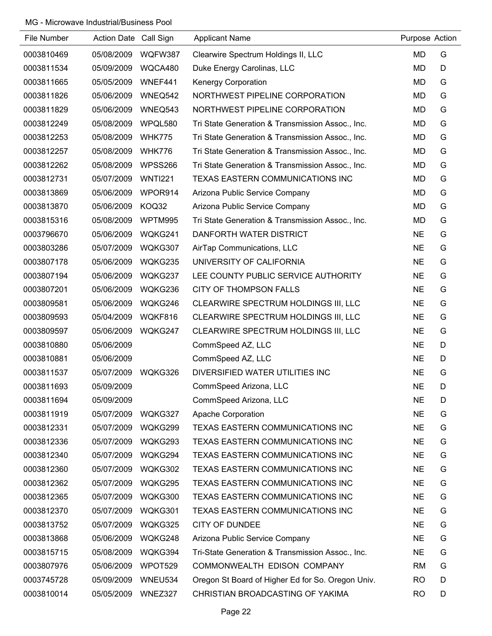| File Number | Action Date Call Sign |                | <b>Applicant Name</b>                             | Purpose Action |   |
|-------------|-----------------------|----------------|---------------------------------------------------|----------------|---|
| 0003810469  | 05/08/2009            | WQFW387        | Clearwire Spectrum Holdings II, LLC               | <b>MD</b>      | G |
| 0003811534  | 05/09/2009            | WQCA480        | Duke Energy Carolinas, LLC                        | MD             | D |
| 0003811665  | 05/05/2009            | WNEF441        | <b>Kenergy Corporation</b>                        | MD             | G |
| 0003811826  | 05/06/2009            | WNEQ542        | NORTHWEST PIPELINE CORPORATION                    | MD             | G |
| 0003811829  | 05/06/2009            | WNEQ543        | NORTHWEST PIPELINE CORPORATION                    | MD             | G |
| 0003812249  | 05/08/2009            | WPQL580        | Tri State Generation & Transmission Assoc., Inc.  | MD             | G |
| 0003812253  | 05/08/2009            | <b>WHK775</b>  | Tri State Generation & Transmission Assoc., Inc.  | MD             | G |
| 0003812257  | 05/08/2009            | <b>WHK776</b>  | Tri State Generation & Transmission Assoc., Inc.  | MD             | G |
| 0003812262  | 05/08/2009            | <b>WPSS266</b> | Tri State Generation & Transmission Assoc., Inc.  | <b>MD</b>      | G |
| 0003812731  | 05/07/2009            | <b>WNTI221</b> | TEXAS EASTERN COMMUNICATIONS INC                  | MD             | G |
| 0003813869  | 05/06/2009            | WPOR914        | Arizona Public Service Company                    | <b>MD</b>      | G |
| 0003813870  | 05/06/2009            | KOQ32          | Arizona Public Service Company                    | MD             | G |
| 0003815316  | 05/08/2009            | WPTM995        | Tri State Generation & Transmission Assoc., Inc.  | <b>MD</b>      | G |
| 0003796670  | 05/06/2009            | WQKG241        | DANFORTH WATER DISTRICT                           | <b>NE</b>      | G |
| 0003803286  | 05/07/2009            | WQKG307        | AirTap Communications, LLC                        | <b>NE</b>      | G |
| 0003807178  | 05/06/2009            | WQKG235        | UNIVERSITY OF CALIFORNIA                          | <b>NE</b>      | G |
| 0003807194  | 05/06/2009            | WQKG237        | LEE COUNTY PUBLIC SERVICE AUTHORITY               | <b>NE</b>      | G |
| 0003807201  | 05/06/2009            | WQKG236        | <b>CITY OF THOMPSON FALLS</b>                     | <b>NE</b>      | G |
| 0003809581  | 05/06/2009            | WQKG246        | CLEARWIRE SPECTRUM HOLDINGS III, LLC              | <b>NE</b>      | G |
| 0003809593  | 05/04/2009            | WQKF816        | CLEARWIRE SPECTRUM HOLDINGS III, LLC              | <b>NE</b>      | G |
| 0003809597  | 05/06/2009            | WQKG247        | CLEARWIRE SPECTRUM HOLDINGS III, LLC              | <b>NE</b>      | G |
| 0003810880  | 05/06/2009            |                | CommSpeed AZ, LLC                                 | NE             | D |
| 0003810881  | 05/06/2009            |                | CommSpeed AZ, LLC                                 | <b>NE</b>      | D |
| 0003811537  | 05/07/2009            | WQKG326        | DIVERSIFIED WATER UTILITIES INC                   | <b>NE</b>      | G |
| 0003811693  | 05/09/2009            |                | CommSpeed Arizona, LLC                            | <b>NE</b>      | D |
| 0003811694  | 05/09/2009            |                | CommSpeed Arizona, LLC                            | <b>NE</b>      | D |
| 0003811919  | 05/07/2009            | WQKG327        | <b>Apache Corporation</b>                         | <b>NE</b>      | G |
| 0003812331  | 05/07/2009            | WQKG299        | TEXAS EASTERN COMMUNICATIONS INC                  | <b>NE</b>      | G |
| 0003812336  | 05/07/2009            | WQKG293        | TEXAS EASTERN COMMUNICATIONS INC                  | <b>NE</b>      | G |
| 0003812340  | 05/07/2009            | WQKG294        | TEXAS EASTERN COMMUNICATIONS INC                  | <b>NE</b>      | G |
| 0003812360  | 05/07/2009            | WQKG302        | TEXAS EASTERN COMMUNICATIONS INC                  | <b>NE</b>      | G |
| 0003812362  | 05/07/2009            | WQKG295        | TEXAS EASTERN COMMUNICATIONS INC                  | <b>NE</b>      | G |
| 0003812365  | 05/07/2009            | WQKG300        | TEXAS EASTERN COMMUNICATIONS INC                  | <b>NE</b>      | G |
| 0003812370  | 05/07/2009            | WQKG301        | TEXAS EASTERN COMMUNICATIONS INC                  | <b>NE</b>      | G |
| 0003813752  | 05/07/2009            | WQKG325        | <b>CITY OF DUNDEE</b>                             | <b>NE</b>      | G |
| 0003813868  | 05/06/2009            | WQKG248        | Arizona Public Service Company                    | <b>NE</b>      | G |
| 0003815715  | 05/08/2009            | WQKG394        | Tri-State Generation & Transmission Assoc., Inc.  | <b>NE</b>      | G |
| 0003807976  | 05/06/2009            | WPOT529        | COMMONWEALTH EDISON COMPANY                       | <b>RM</b>      | G |
| 0003745728  | 05/09/2009            | WNEU534        | Oregon St Board of Higher Ed for So. Oregon Univ. | <b>RO</b>      | D |
| 0003810014  | 05/05/2009            | WNEZ327        | CHRISTIAN BROADCASTING OF YAKIMA                  | <b>RO</b>      | D |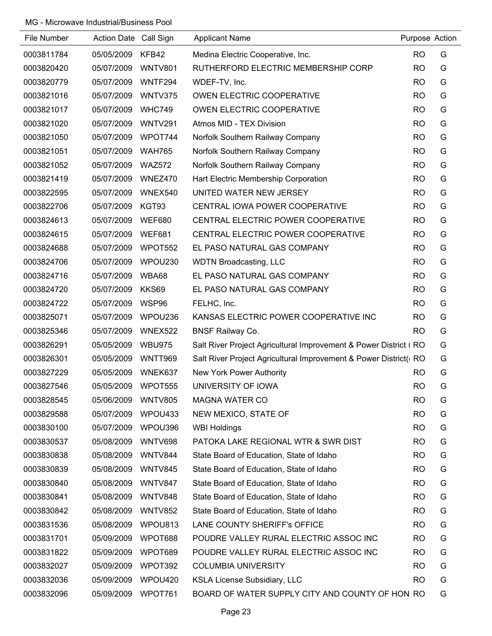| File Number | Action Date Call Sign |                | <b>Applicant Name</b>                                            | Purpose Action |   |
|-------------|-----------------------|----------------|------------------------------------------------------------------|----------------|---|
| 0003811784  | 05/05/2009            | KFB42          | Medina Electric Cooperative, Inc.                                | <b>RO</b>      | G |
| 0003820420  | 05/07/2009            | <b>WNTV801</b> | RUTHERFORD ELECTRIC MEMBERSHIP CORP                              | <b>RO</b>      | G |
| 0003820779  | 05/07/2009            | WNTF294        | WDEF-TV, Inc.                                                    | <b>RO</b>      | G |
| 0003821016  | 05/07/2009            | WNTV375        | OWEN ELECTRIC COOPERATIVE                                        | <b>RO</b>      | G |
| 0003821017  | 05/07/2009            | <b>WHC749</b>  | OWEN ELECTRIC COOPERATIVE                                        | <b>RO</b>      | G |
| 0003821020  | 05/07/2009            | <b>WNTV291</b> | Atmos MID - TEX Division                                         | <b>RO</b>      | G |
| 0003821050  | 05/07/2009            | WPOT744        | Norfolk Southern Railway Company                                 | <b>RO</b>      | G |
| 0003821051  | 05/07/2009            | <b>WAH765</b>  | Norfolk Southern Railway Company                                 | <b>RO</b>      | G |
| 0003821052  | 05/07/2009            | <b>WAZ572</b>  | Norfolk Southern Railway Company                                 | <b>RO</b>      | G |
| 0003821419  | 05/07/2009            | WNEZ470        | Hart Electric Membership Corporation                             | <b>RO</b>      | G |
| 0003822595  | 05/07/2009            | WNEX540        | UNITED WATER NEW JERSEY                                          | <b>RO</b>      | G |
| 0003822706  | 05/07/2009            | KGT93          | CENTRAL IOWA POWER COOPERATIVE                                   | <b>RO</b>      | G |
| 0003824613  | 05/07/2009            | <b>WEF680</b>  | CENTRAL ELECTRIC POWER COOPERATIVE                               | <b>RO</b>      | G |
| 0003824615  | 05/07/2009            | <b>WEF681</b>  | CENTRAL ELECTRIC POWER COOPERATIVE                               | <b>RO</b>      | G |
| 0003824688  | 05/07/2009            | WPOT552        | EL PASO NATURAL GAS COMPANY                                      | <b>RO</b>      | G |
| 0003824706  | 05/07/2009            | WPOU230        | <b>WDTN Broadcasting, LLC</b>                                    | <b>RO</b>      | G |
| 0003824716  | 05/07/2009            | WBA68          | EL PASO NATURAL GAS COMPANY                                      | <b>RO</b>      | G |
| 0003824720  | 05/07/2009            | <b>KKS69</b>   | EL PASO NATURAL GAS COMPANY                                      | <b>RO</b>      | G |
| 0003824722  | 05/07/2009            | WSP96          | FELHC, Inc.                                                      | <b>RO</b>      | G |
| 0003825071  | 05/07/2009            | WPOU236        | KANSAS ELECTRIC POWER COOPERATIVE INC                            | <b>RO</b>      | G |
| 0003825346  | 05/07/2009            | WNEX522        | <b>BNSF Railway Co.</b>                                          | <b>RO</b>      | G |
| 0003826291  | 05/05/2009            | <b>WBU975</b>  | Salt River Project Agricultural Improvement & Power District (RO |                | G |
| 0003826301  | 05/05/2009            | <b>WNTT969</b> | Salt River Project Agricultural Improvement & Power District( RO |                | G |
| 0003827229  | 05/05/2009            | WNEK637        | New York Power Authority                                         | <b>RO</b>      | G |
| 0003827546  | 05/05/2009            | WPOT555        | UNIVERSITY OF IOWA                                               | <b>RO</b>      | G |
| 0003828545  | 05/06/2009            | <b>WNTV805</b> | <b>MAGNA WATER CO</b>                                            | <b>RO</b>      | G |
| 0003829588  | 05/07/2009            | WPOU433        | NEW MEXICO, STATE OF                                             | <b>RO</b>      | G |
| 0003830100  | 05/07/2009            | WPOU396        | <b>WBI Holdings</b>                                              | <b>RO</b>      | G |
| 0003830537  | 05/08/2009            | WNTV698        | PATOKA LAKE REGIONAL WTR & SWR DIST                              | <b>RO</b>      | G |
| 0003830838  | 05/08/2009            | WNTV844        | State Board of Education, State of Idaho                         | <b>RO</b>      | G |
| 0003830839  | 05/08/2009            | WNTV845        | State Board of Education, State of Idaho                         | <b>RO</b>      | G |
| 0003830840  | 05/08/2009            | WNTV847        | State Board of Education, State of Idaho                         | <b>RO</b>      | G |
| 0003830841  | 05/08/2009            | WNTV848        | State Board of Education, State of Idaho                         | <b>RO</b>      | G |
| 0003830842  | 05/08/2009            | <b>WNTV852</b> | State Board of Education, State of Idaho                         | <b>RO</b>      | G |
| 0003831536  | 05/08/2009            | WPOU813        | LANE COUNTY SHERIFF's OFFICE                                     | <b>RO</b>      | G |
| 0003831701  | 05/09/2009            | WPOT688        | POUDRE VALLEY RURAL ELECTRIC ASSOC INC                           | <b>RO</b>      | G |
| 0003831822  | 05/09/2009            | WPOT689        | POUDRE VALLEY RURAL ELECTRIC ASSOC INC                           | <b>RO</b>      | G |
| 0003832027  | 05/09/2009            | WPOT392        | <b>COLUMBIA UNIVERSITY</b>                                       | <b>RO</b>      | G |
| 0003832036  | 05/09/2009            | WPOU420        | <b>KSLA License Subsidiary, LLC</b>                              | <b>RO</b>      | G |
| 0003832096  | 05/09/2009            | WPOT761        | BOARD OF WATER SUPPLY CITY AND COUNTY OF HON RO                  |                | G |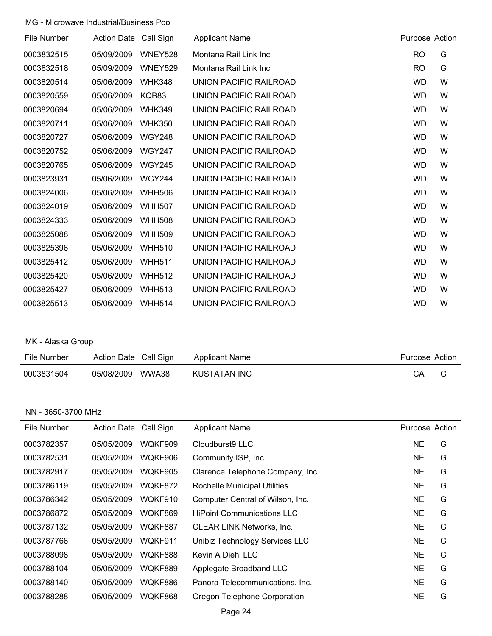| File Number | <b>Action Date</b> | Call Sign     | <b>Applicant Name</b>  | Purpose Action |   |
|-------------|--------------------|---------------|------------------------|----------------|---|
| 0003832515  | 05/09/2009         | WNEY528       | Montana Rail Link Inc  | <b>RO</b>      | G |
| 0003832518  | 05/09/2009         | WNEY529       | Montana Rail Link Inc  | R <sub>O</sub> | G |
| 0003820514  | 05/06/2009         | <b>WHK348</b> | UNION PACIFIC RAILROAD | <b>WD</b>      | W |
| 0003820559  | 05/06/2009         | KQB83         | UNION PACIFIC RAILROAD | <b>WD</b>      | W |
| 0003820694  | 05/06/2009         | <b>WHK349</b> | UNION PACIFIC RAILROAD | <b>WD</b>      | W |
| 0003820711  | 05/06/2009         | <b>WHK350</b> | UNION PACIFIC RAILROAD | <b>WD</b>      | W |
| 0003820727  | 05/06/2009         | <b>WGY248</b> | UNION PACIFIC RAILROAD | <b>WD</b>      | W |
| 0003820752  | 05/06/2009         | <b>WGY247</b> | UNION PACIFIC RAILROAD | <b>WD</b>      | W |
| 0003820765  | 05/06/2009         | <b>WGY245</b> | UNION PACIFIC RAILROAD | <b>WD</b>      | W |
| 0003823931  | 05/06/2009         | <b>WGY244</b> | UNION PACIFIC RAILROAD | <b>WD</b>      | W |
| 0003824006  | 05/06/2009         | <b>WHH506</b> | UNION PACIFIC RAILROAD | <b>WD</b>      | W |
| 0003824019  | 05/06/2009         | <b>WHH507</b> | UNION PACIFIC RAILROAD | <b>WD</b>      | W |
| 0003824333  | 05/06/2009         | <b>WHH508</b> | UNION PACIFIC RAILROAD | <b>WD</b>      | W |
| 0003825088  | 05/06/2009         | <b>WHH509</b> | UNION PACIFIC RAILROAD | <b>WD</b>      | W |
| 0003825396  | 05/06/2009         | <b>WHH510</b> | UNION PACIFIC RAILROAD | <b>WD</b>      | W |
| 0003825412  | 05/06/2009         | <b>WHH511</b> | UNION PACIFIC RAILROAD | <b>WD</b>      | W |
| 0003825420  | 05/06/2009         | <b>WHH512</b> | UNION PACIFIC RAILROAD | <b>WD</b>      | W |
| 0003825427  | 05/06/2009         | <b>WHH513</b> | UNION PACIFIC RAILROAD | <b>WD</b>      | W |
| 0003825513  | 05/06/2009         | <b>WHH514</b> | UNION PACIFIC RAILROAD | <b>WD</b>      | W |

# MK - Alaska Group

| <b>File Number</b> | Action Date Call Sign | <b>Applicant Name</b> | Purpose Action |  |
|--------------------|-----------------------|-----------------------|----------------|--|
| 0003831504         | WWA38<br>05/08/2009   | KUSTATAN INC          | СA             |  |

#### NN - 3650-3700 MHz

| File Number | <b>Action Date</b> | Call Sign | <b>Applicant Name</b>             | Purpose Action |   |
|-------------|--------------------|-----------|-----------------------------------|----------------|---|
| 0003782357  | 05/05/2009         | WOKF909   | Cloudburst9 LLC                   | <b>NE</b>      | G |
| 0003782531  | 05/05/2009         | WOKF906   | Community ISP, Inc.               | <b>NE</b>      | G |
| 0003782917  | 05/05/2009         | WQKF905   | Clarence Telephone Company, Inc.  | <b>NE</b>      | G |
| 0003786119  | 05/05/2009         | WQKF872   | Rochelle Municipal Utilities      | <b>NE</b>      | G |
| 0003786342  | 05/05/2009         | WQKF910   | Computer Central of Wilson, Inc.  | <b>NE</b>      | G |
| 0003786872  | 05/05/2009         | WOKF869   | <b>HiPoint Communications LLC</b> | NE             | G |
| 0003787132  | 05/05/2009         | WOKF887   | <b>CLEAR LINK Networks, Inc.</b>  | NE             | G |
| 0003787766  | 05/05/2009         | WQKF911   | Unibiz Technology Services LLC    | <b>NE</b>      | G |
| 0003788098  | 05/05/2009         | WOKF888   | Kevin A Diehl LLC                 | NE             | G |
| 0003788104  | 05/05/2009         | WOKF889   | Applegate Broadband LLC           | NE             | G |
| 0003788140  | 05/05/2009         | WQKF886   | Panora Telecommunications, Inc.   | NE             | G |
| 0003788288  | 05/05/2009         | WQKF868   | Oregon Telephone Corporation      | <b>NE</b>      | G |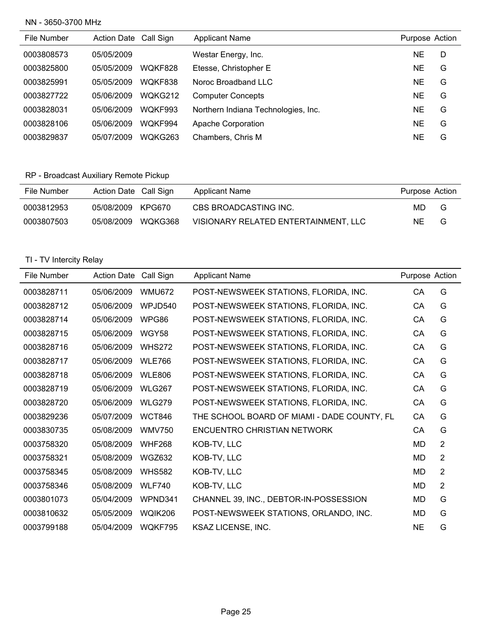#### NN - 3650-3700 MHz

| File Number | Action Date Call Sign |         | <b>Applicant Name</b>               | Purpose Action |   |
|-------------|-----------------------|---------|-------------------------------------|----------------|---|
| 0003808573  | 05/05/2009            |         | Westar Energy, Inc.                 | NE.            | D |
| 0003825800  | 05/05/2009            | WOKF828 | Etesse, Christopher E               | <b>NE</b>      | G |
| 0003825991  | 05/05/2009            | WOKF838 | Noroc Broadband LLC                 | NE             | G |
| 0003827722  | 05/06/2009            | WQKG212 | <b>Computer Concepts</b>            | <b>NE</b>      | G |
| 0003828031  | 05/06/2009            | WOKF993 | Northern Indiana Technologies, Inc. | NE             | G |
| 0003828106  | 05/06/2009            | WOKF994 | Apache Corporation                  | NE             | G |
| 0003829837  | 05/07/2009            | WQKG263 | Chambers, Chris M                   | NE             | G |

# RP - Broadcast Auxiliary Remote Pickup

| File Number | Action Date Call Sign |         | Applicant Name                       | Purpose Action |   |
|-------------|-----------------------|---------|--------------------------------------|----------------|---|
| 0003812953  | 05/08/2009 KPG670     |         | CBS BROADCASTING INC.                | MD.            | G |
| 0003807503  | 05/08/2009            | WQKG368 | VISIONARY RELATED ENTERTAINMENT. LLC | NE.            | G |

| File Number | Action Date Call Sign |               | <b>Applicant Name</b>                       | Purpose Action |   |
|-------------|-----------------------|---------------|---------------------------------------------|----------------|---|
| 0003828711  | 05/06/2009            | <b>WMU672</b> | POST-NEWSWEEK STATIONS, FLORIDA, INC.       | CA             | G |
| 0003828712  | 05/06/2009            | WPJD540       | POST-NEWSWEEK STATIONS, FLORIDA, INC.       | CA             | G |
| 0003828714  | 05/06/2009            | WPG86         | POST-NEWSWEEK STATIONS, FLORIDA, INC.       | CA             | G |
| 0003828715  | 05/06/2009            | WGY58         | POST-NEWSWEEK STATIONS, FLORIDA, INC.       | CA             | G |
| 0003828716  | 05/06/2009            | <b>WHS272</b> | POST-NEWSWEEK STATIONS, FLORIDA, INC.       | CA             | G |
| 0003828717  | 05/06/2009            | <b>WLE766</b> | POST-NEWSWEEK STATIONS, FLORIDA, INC.       | CA             | G |
| 0003828718  | 05/06/2009            | <b>WLE806</b> | POST-NEWSWEEK STATIONS, FLORIDA, INC.       | СA             | G |
| 0003828719  | 05/06/2009            | <b>WLG267</b> | POST-NEWSWEEK STATIONS, FLORIDA, INC.       | СA             | G |
| 0003828720  | 05/06/2009            | <b>WLG279</b> | POST-NEWSWEEK STATIONS, FLORIDA, INC.       | CA             | G |
| 0003829236  | 05/07/2009            | <b>WCT846</b> | THE SCHOOL BOARD OF MIAMI - DADE COUNTY, FL | CA             | G |
| 0003830735  | 05/08/2009            | <b>WMV750</b> | <b>ENCUENTRO CHRISTIAN NETWORK</b>          | CA             | G |
| 0003758320  | 05/08/2009            | <b>WHF268</b> | KOB-TV, LLC                                 | MD             | 2 |
| 0003758321  | 05/08/2009            | <b>WGZ632</b> | KOB-TV, LLC                                 | MD             | 2 |
| 0003758345  | 05/08/2009            | <b>WHS582</b> | KOB-TV, LLC                                 | MD             | 2 |
| 0003758346  | 05/08/2009            | <b>WLF740</b> | KOB-TV, LLC                                 | MD             | 2 |
| 0003801073  | 05/04/2009            | WPND341       | CHANNEL 39, INC., DEBTOR-IN-POSSESSION      | MD             | G |
| 0003810632  | 05/05/2009            | WOIK206       | POST-NEWSWEEK STATIONS, ORLANDO, INC.       | MD             | G |
| 0003799188  | 05/04/2009            | WQKF795       | <b>KSAZ LICENSE, INC.</b>                   | <b>NE</b>      | G |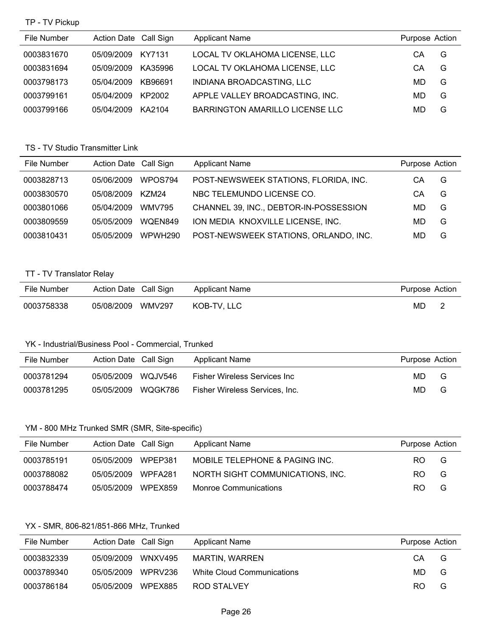#### TP - TV Pickup

| File Number | Action Date Call Sign |         | <b>Applicant Name</b>           | Purpose Action |   |
|-------------|-----------------------|---------|---------------------------------|----------------|---|
| 0003831670  | 05/09/2009            | KY7131  | LOCAL TV OKLAHOMA LICENSE, LLC  | СA             | G |
| 0003831694  | 05/09/2009            | KA35996 | LOCAL TV OKLAHOMA LICENSE, LLC  | СA             | G |
| 0003798173  | 05/04/2009            | KB96691 | INDIANA BROADCASTING, LLC       | MD             | G |
| 0003799161  | 05/04/2009            | KP2002  | APPLE VALLEY BROADCASTING, INC. | MD             | G |
| 0003799166  | 05/04/2009            | KA2104  | BARRINGTON AMARILLO LICENSE LLC | MD             | G |

# TS - TV Studio Transmitter Link

| File Number | Action Date Call Sign |               | <b>Applicant Name</b>                  | Purpose Action |   |
|-------------|-----------------------|---------------|----------------------------------------|----------------|---|
| 0003828713  | 05/06/2009            | WPOS794       | POST-NEWSWEEK STATIONS, FLORIDA, INC.  | CА             | G |
| 0003830570  | 05/08/2009            | K7M24         | NBC TELEMUNDO LICENSE CO.              | CА             | G |
| 0003801066  | 05/04/2009            | <b>WMV795</b> | CHANNEL 39, INC., DEBTOR-IN-POSSESSION | MD             | G |
| 0003809559  | 05/05/2009            | WQEN849       | ION MEDIA KNOXVILLE LICENSE, INC.      | MD             | G |
| 0003810431  | 05/05/2009            | WPWH290       | POST-NEWSWEEK STATIONS, ORLANDO, INC.  | MD             | G |

#### TT - TV Translator Relay

| File Number | Action Date Call Sign |        | Applicant Name | Purpose Action |  |
|-------------|-----------------------|--------|----------------|----------------|--|
| 0003758338  | 05/08/2009            | WMV297 | KOB-TV. LLC    | MD.            |  |

#### YK - Industrial/Business Pool - Commercial, Trunked

| File Number | Action Date Call Sign |         | <b>Applicant Name</b>          | Purpose Action |   |
|-------------|-----------------------|---------|--------------------------------|----------------|---|
| 0003781294  | 05/05/2009            | WQJV546 | Fisher Wireless Services Inc   | MD.            | G |
| 0003781295  | 05/05/2009            | WQGK786 | Fisher Wireless Services, Inc. | MD.            | G |

#### YM - 800 MHz Trunked SMR (SMR, Site-specific)

| File Number | Action Date Call Sign |         | <b>Applicant Name</b>            | Purpose Action |   |
|-------------|-----------------------|---------|----------------------------------|----------------|---|
| 0003785191  | 05/05/2009            | WPEP381 | MOBILE TELEPHONE & PAGING INC.   | RO.            | G |
| 0003788082  | 05/05/2009            | WPFA281 | NORTH SIGHT COMMUNICATIONS, INC. | RO.            | G |
| 0003788474  | 05/05/2009            | WPEX859 | <b>Monroe Communications</b>     | RO.            | G |

#### YX - SMR, 806-821/851-866 MHz, Trunked

| File Number | Action Date Call Sign |         | <b>Applicant Name</b>      | Purpose Action |   |
|-------------|-----------------------|---------|----------------------------|----------------|---|
| 0003832339  | 05/09/2009            | WNXV495 | MARTIN, WARREN             | CA.            | G |
| 0003789340  | 05/05/2009            | WPRV236 | White Cloud Communications | MD.            | G |
| 0003786184  | 05/05/2009            | WPEX885 | ROD STALVEY                | RO.            | G |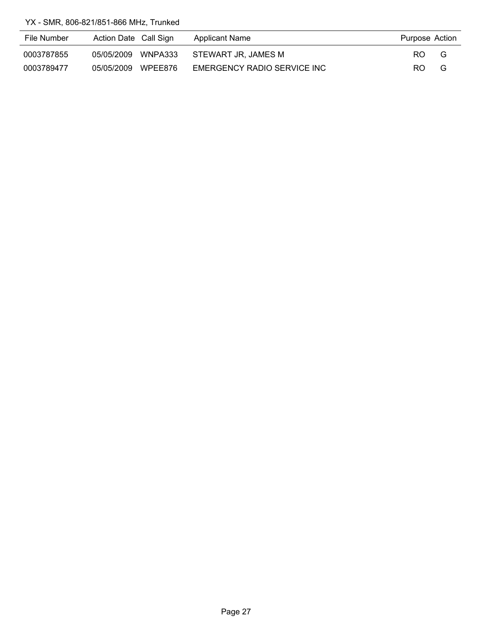YX - SMR, 806-821/851-866 MHz, Trunked

| File Number | Action Date Call Sign | Applicant Name              | Purpose Action |   |
|-------------|-----------------------|-----------------------------|----------------|---|
| 0003787855  | 05/05/2009 WNPA333    | STEWART JR. JAMES M         | RO.            | G |
| 0003789477  | 05/05/2009 WPEE876    | EMERGENCY RADIO SERVICE INC | RO.            | G |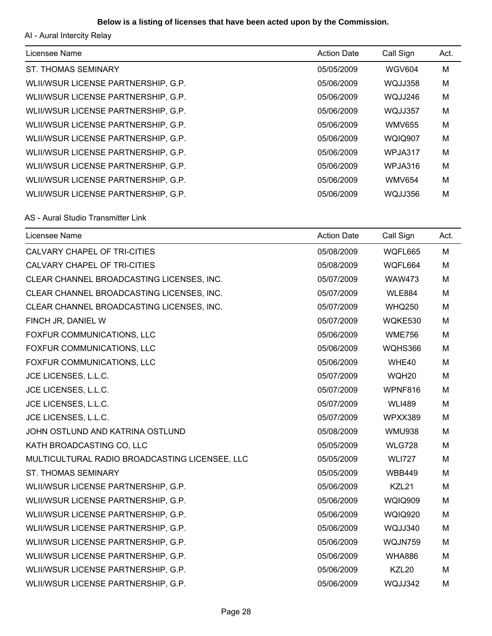# **Below is a listing of licenses that have been acted upon by the Commission.**

AI - Aural Intercity Relay

| Licensee Name                       | <b>Action Date</b> | Call Sign      | Act. |
|-------------------------------------|--------------------|----------------|------|
| <b>ST. THOMAS SEMINARY</b>          | 05/05/2009         | <b>WGV604</b>  | M    |
| WLII/WSUR LICENSE PARTNERSHIP, G.P. | 05/06/2009         | WQJJ358        | M    |
| WLII/WSUR LICENSE PARTNERSHIP, G.P. | 05/06/2009         | WQJJ246        | M    |
| WLII/WSUR LICENSE PARTNERSHIP, G.P. | 05/06/2009         | WQJJ357        | M    |
| WLII/WSUR LICENSE PARTNERSHIP, G.P. | 05/06/2009         | <b>WMV655</b>  | M    |
| WLII/WSUR LICENSE PARTNERSHIP, G.P. | 05/06/2009         | <b>WQIQ907</b> | M    |
| WLII/WSUR LICENSE PARTNERSHIP, G.P. | 05/06/2009         | WPJA317        | M    |
| WLII/WSUR LICENSE PARTNERSHIP, G.P. | 05/06/2009         | WPJA316        | M    |
| WLII/WSUR LICENSE PARTNERSHIP, G.P. | 05/06/2009         | <b>WMV654</b>  | M    |
| WLII/WSUR LICENSE PARTNERSHIP, G.P. | 05/06/2009         | WQJJ356        | M    |

#### AS - Aural Studio Transmitter Link

| Licensee Name                                  | <b>Action Date</b> | Call Sign         | Act. |
|------------------------------------------------|--------------------|-------------------|------|
| CALVARY CHAPEL OF TRI-CITIES                   | 05/08/2009         | WQFL665           | M    |
| CALVARY CHAPEL OF TRI-CITIES                   | 05/08/2009         | WQFL664           | M    |
| CLEAR CHANNEL BROADCASTING LICENSES, INC.      | 05/07/2009         | <b>WAW473</b>     | M    |
| CLEAR CHANNEL BROADCASTING LICENSES, INC.      | 05/07/2009         | <b>WLE884</b>     | M    |
| CLEAR CHANNEL BROADCASTING LICENSES, INC.      | 05/07/2009         | <b>WHQ250</b>     | M    |
| FINCH JR, DANIEL W                             | 05/07/2009         | WQKE530           | M    |
| FOXFUR COMMUNICATIONS, LLC                     | 05/06/2009         | <b>WME756</b>     | M    |
| FOXFUR COMMUNICATIONS, LLC                     | 05/06/2009         | WQHS366           | M    |
| FOXFUR COMMUNICATIONS, LLC                     | 05/06/2009         | WHE40             | M    |
| JCE LICENSES, L.L.C.                           | 05/07/2009         | WQH20             | M    |
| JCE LICENSES, L.L.C.                           | 05/07/2009         | WPNF816           | M    |
| JCE LICENSES, L.L.C.                           | 05/07/2009         | <b>WLI489</b>     | M    |
| JCE LICENSES, L.L.C.                           | 05/07/2009         | WPXX389           | M    |
| JOHN OSTLUND AND KATRINA OSTLUND               | 05/08/2009         | <b>WMU938</b>     | M    |
| KATH BROADCASTING CO, LLC                      | 05/05/2009         | <b>WLG728</b>     | M    |
| MULTICULTURAL RADIO BROADCASTING LICENSEE, LLC | 05/05/2009         | <b>WLI727</b>     | M    |
| <b>ST. THOMAS SEMINARY</b>                     | 05/05/2009         | <b>WBB449</b>     | M    |
| WLII/WSUR LICENSE PARTNERSHIP, G.P.            | 05/06/2009         | KZL21             | M    |
| WLII/WSUR LICENSE PARTNERSHIP, G.P.            | 05/06/2009         | <b>WQIQ909</b>    | M    |
| WLII/WSUR LICENSE PARTNERSHIP, G.P.            | 05/06/2009         | <b>WQIQ920</b>    | M    |
| WLII/WSUR LICENSE PARTNERSHIP, G.P.            | 05/06/2009         | WQJJ340           | M    |
| WLII/WSUR LICENSE PARTNERSHIP, G.P.            | 05/06/2009         | WQJN759           | M    |
| WLII/WSUR LICENSE PARTNERSHIP, G.P.            | 05/06/2009         | <b>WHA886</b>     | M    |
| WLII/WSUR LICENSE PARTNERSHIP, G.P.            | 05/06/2009         | KZL <sub>20</sub> | M    |
| WLII/WSUR LICENSE PARTNERSHIP, G.P.            | 05/06/2009         | WQJJ342           | M    |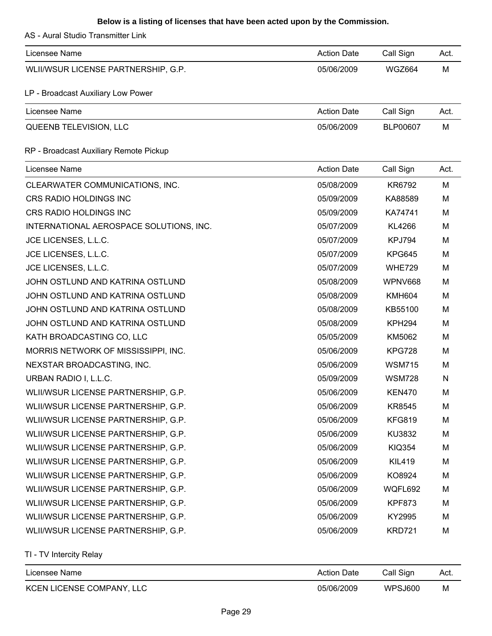# **Below is a listing of licenses that have been acted upon by the Commission.**

AS - Aural Studio Transmitter Link

| Licensee Name                           | <b>Action Date</b> | Call Sign          | Act. |
|-----------------------------------------|--------------------|--------------------|------|
| WLII/WSUR LICENSE PARTNERSHIP, G.P.     | 05/06/2009         | <b>WGZ664</b>      | M    |
| LP - Broadcast Auxiliary Low Power      |                    |                    |      |
| Licensee Name                           | <b>Action Date</b> | Call Sign          | Act. |
| QUEENB TELEVISION, LLC                  | 05/06/2009         | BLP00607           | M    |
| RP - Broadcast Auxiliary Remote Pickup  |                    |                    |      |
| Licensee Name                           | <b>Action Date</b> | Call Sign          | Act. |
| CLEARWATER COMMUNICATIONS, INC.         | 05/08/2009         | KR6792             | M    |
| CRS RADIO HOLDINGS INC                  | 05/09/2009         | KA88589            | M    |
| CRS RADIO HOLDINGS INC                  | 05/09/2009         | KA74741            | M    |
| INTERNATIONAL AEROSPACE SOLUTIONS, INC. | 05/07/2009         | KL4266             | M    |
| JCE LICENSES, L.L.C.                    | 05/07/2009         | KPJ794             | M    |
| JCE LICENSES, L.L.C.                    | 05/07/2009         | <b>KPG645</b>      | M    |
| JCE LICENSES, L.L.C.                    | 05/07/2009         | <b>WHE729</b>      | M    |
| JOHN OSTLUND AND KATRINA OSTLUND        | 05/08/2009         | WPNV668            | M    |
| JOHN OSTLUND AND KATRINA OSTLUND        | 05/08/2009         | <b>KMH604</b>      | M    |
| JOHN OSTLUND AND KATRINA OSTLUND        | 05/08/2009         | KB55100            | M    |
| JOHN OSTLUND AND KATRINA OSTLUND        | 05/08/2009         | KPH <sub>294</sub> | M    |
| KATH BROADCASTING CO, LLC               | 05/05/2009         | KM5062             | M    |
| MORRIS NETWORK OF MISSISSIPPI, INC.     | 05/06/2009         | <b>KPG728</b>      | M    |
| NEXSTAR BROADCASTING, INC.              | 05/06/2009         | <b>WSM715</b>      | M    |
| URBAN RADIO I, L.L.C.                   | 05/09/2009         | <b>WSM728</b>      | N    |
| WLII/WSUR LICENSE PARTNERSHIP, G.P.     | 05/06/2009         | <b>KEN470</b>      | M    |
| WLII/WSUR LICENSE PARTNERSHIP, G.P.     | 05/06/2009         | KR8545             | M    |
| WLII/WSUR LICENSE PARTNERSHIP, G.P.     | 05/06/2009         | <b>KFG819</b>      | M    |
| WLII/WSUR LICENSE PARTNERSHIP, G.P.     | 05/06/2009         | KU3832             | M    |
| WLII/WSUR LICENSE PARTNERSHIP, G.P.     | 05/06/2009         | <b>KIQ354</b>      | M    |
| WLII/WSUR LICENSE PARTNERSHIP, G.P.     | 05/06/2009         | <b>KIL419</b>      | M    |
| WLII/WSUR LICENSE PARTNERSHIP, G.P.     | 05/06/2009         | KO8924             | M    |
| WLII/WSUR LICENSE PARTNERSHIP, G.P.     | 05/06/2009         | WQFL692            | M    |
| WLII/WSUR LICENSE PARTNERSHIP, G.P.     | 05/06/2009         | <b>KPF873</b>      | M    |
| WLII/WSUR LICENSE PARTNERSHIP, G.P.     | 05/06/2009         | KY2995             | M    |
| WLII/WSUR LICENSE PARTNERSHIP, G.P.     | 05/06/2009         | <b>KRD721</b>      | M    |

| Licensee Name             | <b>Action Date</b> | Call Sign | Act. |
|---------------------------|--------------------|-----------|------|
| KCEN LICENSE COMPANY, LLC | 05/06/2009         | WPSJ600   | M    |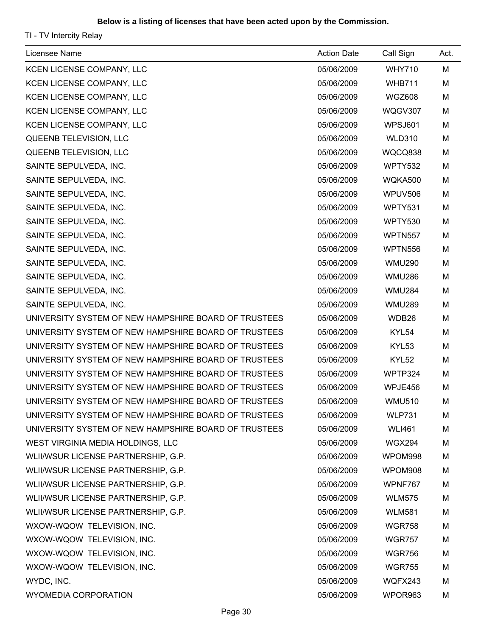| Licensee Name                                        | <b>Action Date</b> | Call Sign     | Act. |
|------------------------------------------------------|--------------------|---------------|------|
| KCEN LICENSE COMPANY, LLC                            | 05/06/2009         | <b>WHY710</b> | M    |
| KCEN LICENSE COMPANY, LLC                            | 05/06/2009         | <b>WHB711</b> | M    |
| KCEN LICENSE COMPANY, LLC                            | 05/06/2009         | <b>WGZ608</b> | M    |
| KCEN LICENSE COMPANY, LLC                            | 05/06/2009         | WQGV307       | M    |
| KCEN LICENSE COMPANY, LLC                            | 05/06/2009         | WPSJ601       | M    |
| QUEENB TELEVISION, LLC                               | 05/06/2009         | <b>WLD310</b> | M    |
| QUEENB TELEVISION, LLC                               | 05/06/2009         | WQCQ838       | M    |
| SAINTE SEPULVEDA, INC.                               | 05/06/2009         | WPTY532       | M    |
| SAINTE SEPULVEDA, INC.                               | 05/06/2009         | WQKA500       | M    |
| SAINTE SEPULVEDA, INC.                               | 05/06/2009         | WPUV506       | M    |
| SAINTE SEPULVEDA, INC.                               | 05/06/2009         | WPTY531       | M    |
| SAINTE SEPULVEDA, INC.                               | 05/06/2009         | WPTY530       | M    |
| SAINTE SEPULVEDA, INC.                               | 05/06/2009         | WPTN557       | M    |
| SAINTE SEPULVEDA, INC.                               | 05/06/2009         | WPTN556       | M    |
| SAINTE SEPULVEDA, INC.                               | 05/06/2009         | <b>WMU290</b> | M    |
| SAINTE SEPULVEDA, INC.                               | 05/06/2009         | <b>WMU286</b> | M    |
| SAINTE SEPULVEDA, INC.                               | 05/06/2009         | <b>WMU284</b> | M    |
| SAINTE SEPULVEDA, INC.                               | 05/06/2009         | <b>WMU289</b> | M    |
| UNIVERSITY SYSTEM OF NEW HAMPSHIRE BOARD OF TRUSTEES | 05/06/2009         | WDB26         | M    |
| UNIVERSITY SYSTEM OF NEW HAMPSHIRE BOARD OF TRUSTEES | 05/06/2009         | KYL54         | M    |
| UNIVERSITY SYSTEM OF NEW HAMPSHIRE BOARD OF TRUSTEES | 05/06/2009         | KYL53         | M    |
| UNIVERSITY SYSTEM OF NEW HAMPSHIRE BOARD OF TRUSTEES | 05/06/2009         | KYL52         | M    |
| UNIVERSITY SYSTEM OF NEW HAMPSHIRE BOARD OF TRUSTEES | 05/06/2009         | WPTP324       | M    |
| UNIVERSITY SYSTEM OF NEW HAMPSHIRE BOARD OF TRUSTEES | 05/06/2009         | WPJE456       | M    |
| UNIVERSITY SYSTEM OF NEW HAMPSHIRE BOARD OF TRUSTEES | 05/06/2009         | <b>WMU510</b> | M    |
| UNIVERSITY SYSTEM OF NEW HAMPSHIRE BOARD OF TRUSTEES | 05/06/2009         | <b>WLP731</b> | м    |
| UNIVERSITY SYSTEM OF NEW HAMPSHIRE BOARD OF TRUSTEES | 05/06/2009         | <b>WLI461</b> | M    |
| WEST VIRGINIA MEDIA HOLDINGS, LLC                    | 05/06/2009         | <b>WGX294</b> | M    |
| WLII/WSUR LICENSE PARTNERSHIP, G.P.                  | 05/06/2009         | WPOM998       | M    |
| WLII/WSUR LICENSE PARTNERSHIP, G.P.                  | 05/06/2009         | WPOM908       | M    |
| WLII/WSUR LICENSE PARTNERSHIP, G.P.                  | 05/06/2009         | WPNF767       | M    |
| WLII/WSUR LICENSE PARTNERSHIP, G.P.                  | 05/06/2009         | <b>WLM575</b> | M    |
| WLII/WSUR LICENSE PARTNERSHIP, G.P.                  | 05/06/2009         | <b>WLM581</b> | M    |
| WXOW-WQOW TELEVISION, INC.                           | 05/06/2009         | <b>WGR758</b> | м    |
| WXOW-WQOW TELEVISION, INC.                           | 05/06/2009         | <b>WGR757</b> | M    |
| WXOW-WQOW TELEVISION, INC.                           | 05/06/2009         | <b>WGR756</b> | M    |
| WXOW-WQOW TELEVISION, INC.                           | 05/06/2009         | <b>WGR755</b> | M    |
| WYDC, INC.                                           | 05/06/2009         | WQFX243       | M    |
| WYOMEDIA CORPORATION                                 | 05/06/2009         | WPOR963       | M    |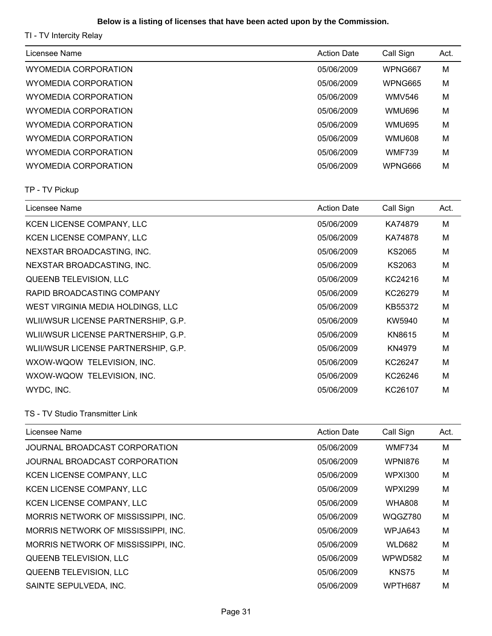# **Below is a listing of licenses that have been acted upon by the Commission.**

| Licensee Name                       | <b>Action Date</b> | Call Sign      | Act. |
|-------------------------------------|--------------------|----------------|------|
| <b>WYOMEDIA CORPORATION</b>         | 05/06/2009         | WPNG667        | M    |
| <b>WYOMEDIA CORPORATION</b>         | 05/06/2009         | WPNG665        | M    |
| <b>WYOMEDIA CORPORATION</b>         | 05/06/2009         | <b>WMV546</b>  | M    |
| <b>WYOMEDIA CORPORATION</b>         | 05/06/2009         | <b>WMU696</b>  | M    |
| <b>WYOMEDIA CORPORATION</b>         | 05/06/2009         | <b>WMU695</b>  | M    |
| <b>WYOMEDIA CORPORATION</b>         | 05/06/2009         | <b>WMU608</b>  | M    |
| <b>WYOMEDIA CORPORATION</b>         | 05/06/2009         | <b>WMF739</b>  | M    |
| <b>WYOMEDIA CORPORATION</b>         | 05/06/2009         | WPNG666        | M    |
| TP - TV Pickup                      |                    |                |      |
| Licensee Name                       | <b>Action Date</b> | Call Sign      | Act. |
| KCEN LICENSE COMPANY, LLC           | 05/06/2009         | KA74879        | M    |
| KCEN LICENSE COMPANY, LLC           | 05/06/2009         | KA74878        | M    |
| NEXSTAR BROADCASTING, INC.          | 05/06/2009         | <b>KS2065</b>  | M    |
| NEXSTAR BROADCASTING, INC.          | 05/06/2009         | KS2063         | M    |
| QUEENB TELEVISION, LLC              | 05/06/2009         | KC24216        | M    |
| RAPID BROADCASTING COMPANY          | 05/06/2009         | KC26279        | M    |
| WEST VIRGINIA MEDIA HOLDINGS, LLC   | 05/06/2009         | KB55372        | M    |
| WLII/WSUR LICENSE PARTNERSHIP, G.P. | 05/06/2009         | KW5940         | M    |
| WLII/WSUR LICENSE PARTNERSHIP, G.P. | 05/06/2009         | KN8615         | M    |
| WLII/WSUR LICENSE PARTNERSHIP, G.P. | 05/06/2009         | KN4979         | M    |
| WXOW-WQOW TELEVISION, INC.          | 05/06/2009         | KC26247        | M    |
| WXOW-WQOW TELEVISION, INC.          | 05/06/2009         | KC26246        | M    |
| WYDC, INC.                          | 05/06/2009         | KC26107        | M    |
| TS - TV Studio Transmitter Link     |                    |                |      |
| Licensee Name                       | <b>Action Date</b> | Call Sign      | Act. |
| JOURNAL BROADCAST CORPORATION       | 05/06/2009         | <b>WMF734</b>  | M    |
| JOURNAL BROADCAST CORPORATION       | 05/06/2009         | <b>WPNI876</b> | M    |
| KCEN LICENSE COMPANY, LLC           | 05/06/2009         | <b>WPXI300</b> | M    |
| KCEN LICENSE COMPANY, LLC           | 05/06/2009         | <b>WPXI299</b> | M    |
| KCEN LICENSE COMPANY, LLC           | 05/06/2009         | <b>WHA808</b>  | M    |
| MORRIS NETWORK OF MISSISSIPPI, INC. | 05/06/2009         | WQGZ780        | M    |
| MORRIS NETWORK OF MISSISSIPPI, INC. | 05/06/2009         | WPJA643        | м    |
| MORRIS NETWORK OF MISSISSIPPI, INC. | 05/06/2009         | <b>WLD682</b>  | M    |
| QUEENB TELEVISION, LLC              | 05/06/2009         | WPWD582        | м    |
| QUEENB TELEVISION, LLC              | 05/06/2009         | <b>KNS75</b>   | M    |
| SAINTE SEPULVEDA, INC.              | 05/06/2009         | WPTH687        | M    |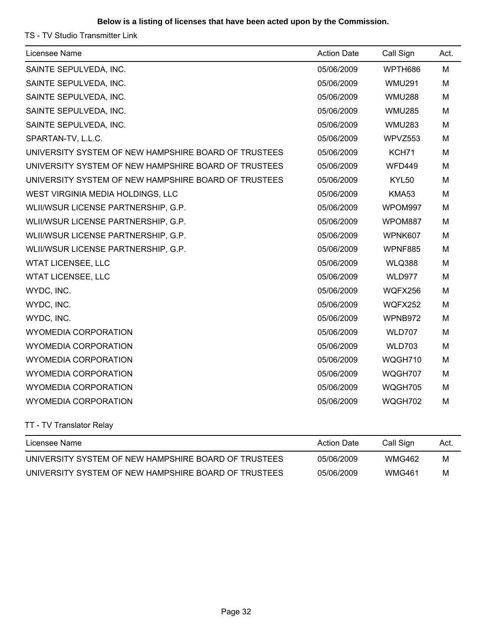#### **Below is a listing of licenses that have been acted upon by the Commission.**

TS - TV Studio Transmitter Link

| Licensee Name                                        | <b>Action Date</b> | Call Sign     | Act. |
|------------------------------------------------------|--------------------|---------------|------|
| SAINTE SEPULVEDA, INC.                               | 05/06/2009         | WPTH686       | M    |
| SAINTE SEPULVEDA, INC.                               | 05/06/2009         | <b>WMU291</b> | M    |
| SAINTE SEPULVEDA, INC.                               | 05/06/2009         | <b>WMU288</b> | M    |
| SAINTE SEPULVEDA, INC.                               | 05/06/2009         | <b>WMU285</b> | м    |
| SAINTE SEPULVEDA, INC.                               | 05/06/2009         | <b>WMU283</b> | M    |
| SPARTAN-TV, L.L.C.                                   | 05/06/2009         | WPVZ553       | М    |
| UNIVERSITY SYSTEM OF NEW HAMPSHIRE BOARD OF TRUSTEES | 05/06/2009         | KCH71         | M    |
| UNIVERSITY SYSTEM OF NEW HAMPSHIRE BOARD OF TRUSTEES | 05/06/2009         | <b>WFD449</b> | M    |
| UNIVERSITY SYSTEM OF NEW HAMPSHIRE BOARD OF TRUSTEES | 05/06/2009         | KYL50         | M    |
| WEST VIRGINIA MEDIA HOLDINGS, LLC                    | 05/06/2009         | <b>KMA53</b>  | M    |
| WLII/WSUR LICENSE PARTNERSHIP, G.P.                  | 05/06/2009         | WPOM997       | M    |
| WLII/WSUR LICENSE PARTNERSHIP, G.P.                  | 05/06/2009         | WPOM887       | M    |
| WLII/WSUR LICENSE PARTNERSHIP, G.P.                  | 05/06/2009         | WPNK607       | M    |
| WLII/WSUR LICENSE PARTNERSHIP, G.P.                  | 05/06/2009         | WPNF885       | M    |
| <b>WTAT LICENSEE, LLC</b>                            | 05/06/2009         | <b>WLQ388</b> | M    |
| <b>WTAT LICENSEE, LLC</b>                            | 05/06/2009         | WLD977        | M    |
| WYDC, INC.                                           | 05/06/2009         | WQFX256       | M    |
| WYDC, INC.                                           | 05/06/2009         | WQFX252       | M    |
| WYDC, INC.                                           | 05/06/2009         | WPNB972       | M    |
| <b>WYOMEDIA CORPORATION</b>                          | 05/06/2009         | <b>WLD707</b> | M    |
| <b>WYOMEDIA CORPORATION</b>                          | 05/06/2009         | <b>WLD703</b> | M    |
| <b>WYOMEDIA CORPORATION</b>                          | 05/06/2009         | WQGH710       | M    |
| <b>WYOMEDIA CORPORATION</b>                          | 05/06/2009         | WQGH707       | M    |
| <b>WYOMEDIA CORPORATION</b>                          | 05/06/2009         | WQGH705       | М    |
| <b>WYOMEDIA CORPORATION</b>                          | 05/06/2009         | WQGH702       | M    |
|                                                      |                    |               |      |

TT - TV Translator Relay

| Licensee Name                                        | <b>Action Date</b> | Call Sign     | Act. |
|------------------------------------------------------|--------------------|---------------|------|
| UNIVERSITY SYSTEM OF NEW HAMPSHIRE BOARD OF TRUSTEES | 05/06/2009         | <b>WMG462</b> | M    |
| UNIVERSITY SYSTEM OF NEW HAMPSHIRE BOARD OF TRUSTEES | 05/06/2009         | <b>WMG461</b> | M    |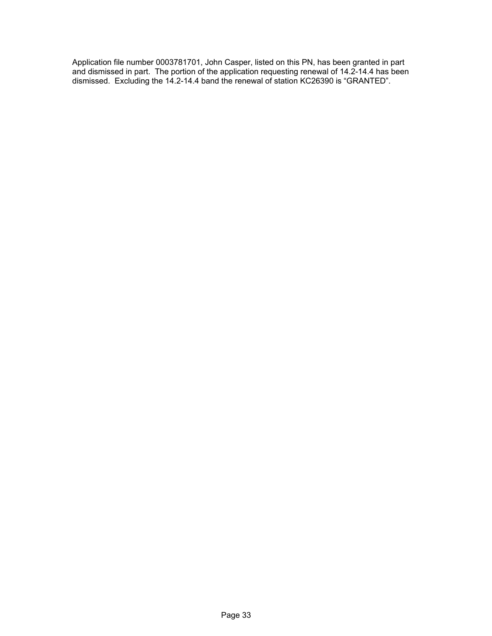Application file number 0003781701, John Casper, listed on this PN, has been granted in part and dismissed in part. The portion of the application requesting renewal of 14.2-14.4 has been dismissed. Excluding the 14.2-14.4 band the renewal of station KC26390 is "GRANTED".